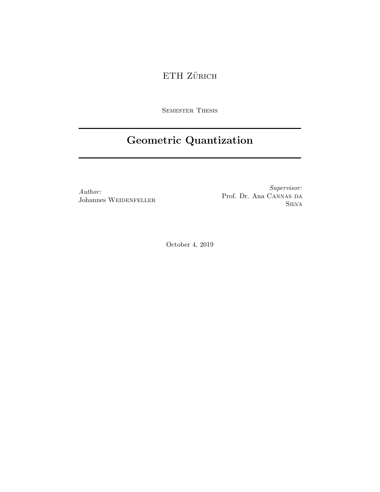# $\operatorname{ETH}$ ZüRICH

SEMESTER THESIS

# Geometric Quantization

Author: Johannes WEIDENFELLER

Supervisor: Prof. Dr. Ana CANNAS DA Silva

October 4, 2019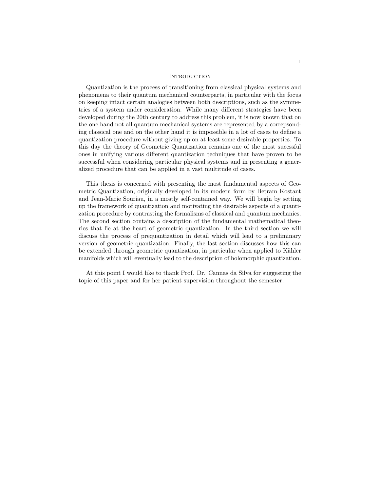#### <span id="page-1-0"></span>**INTRODUCTION**

Quantization is the process of transitioning from classical physical systems and phenomena to their quantum mechanical counterparts, in particular with the focus on keeping intact certain analogies between both descriptions, such as the symmetries of a system under consideration. While many different strategies have been developed during the 20th century to address this problem, it is now known that on the one hand not all quantum mechanical systems are represented by a correpsonding classical one and on the other hand it is impossible in a lot of cases to define a quantization procedure without giving up on at least some desirable properties. To this day the theory of Geometric Quantization remains one of the most sucessful ones in unifying various different quantization techniques that have proven to be successful when considering particular physical systems and in presenting a generalized procedure that can be applied in a vast multitude of cases.

This thesis is concerned with presenting the most fundamental aspects of Geometric Quantization, originally developed in its modern form by Betram Kostant and Jean-Marie Souriau, in a mostly self-contained way. We will begin by setting up the framework of quantization and motivating the desirable aspects of a quantization procedure by contrasting the formalisms of classical and quantum mechanics. The second section contains a description of the fundamental mathematical theories that lie at the heart of geometric quantization. In the third section we will discuss the process of prequantization in detail which will lead to a preliminary version of geometric quantization. Finally, the last section discusses how this can be extended through geometric quantization, in particular when applied to Kähler manifolds which will eventually lead to the description of holomorphic quantization.

At this point I would like to thank Prof. Dr. Cannas da Silva for suggesting the topic of this paper and for her patient supervision throughout the semester.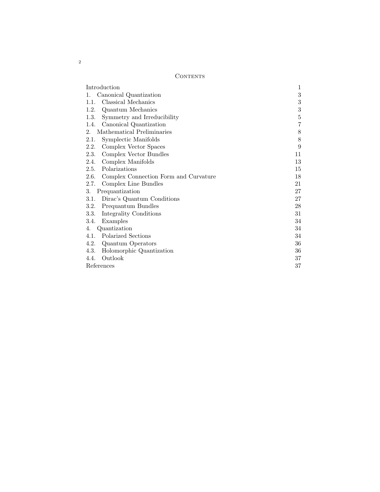# CONTENTS

| UUN LEN Lõ                                 |                |
|--------------------------------------------|----------------|
| Introduction                               | 1              |
| Canonical Quantization<br>1.               | 3              |
| Classical Mechanics<br>1.1.                | 3              |
| 1.2. Quantum Mechanics                     | 3              |
| Symmetry and Irreducibility<br>1.3.        | $\overline{5}$ |
| Canonical Quantization<br>1.4.             | 7              |
| Mathematical Preliminaries<br>2.           | 8              |
| 2.1.<br>Symplectic Manifolds               | 8              |
| Complex Vector Spaces<br>2.2.              | 9              |
| Complex Vector Bundles<br>2.3.             | 11             |
| Complex Manifolds<br>2.4.                  | 13             |
| 2.5. Polarizations                         | 15             |
| 2.6. Complex Connection Form and Curvature | 18             |
| 2.7.<br>Complex Line Bundles               | 21             |
| Prequantization<br>3.                      | 27             |
| Dirac's Quantum Conditions<br>3.1.         | 27             |
| Prequantum Bundles<br>3.2.                 | 28             |
| Integrality Conditions<br>3.3.             | 31             |
| Examples<br>3.4.                           | 34             |
| Quantization<br>4.                         | 34             |
| Polarized Sections<br>4.1.                 | 34             |
| 4.2. Quantum Operators                     | 36             |
| 4.3.<br>Holomorphic Quantization           | 36             |
| Outlook<br>4.4.                            | 37             |
| References                                 | 37             |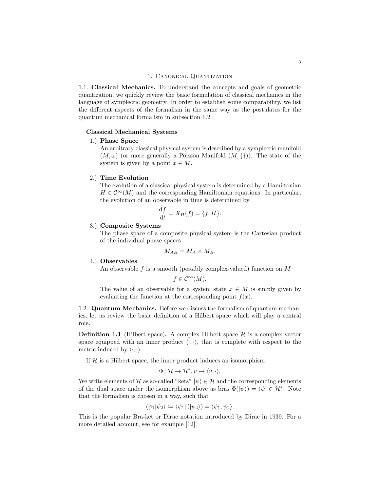#### 1. Canonical Quantization

<span id="page-3-1"></span><span id="page-3-0"></span>1.1. Classical Mechanics. To understand the concepts and goals of geometric quantization, we quickly review the basic formulation of classical mechanics in the language of symplectic geometry. In order to establish some comparability, we list the different aspects of the formalism in the same way as the postulates for the quantum mechanical formalism in subsection [1.2.](#page-3-2)

# Classical Mechanical Systems

# 1.) Phase Space

An arbitrary classical physical system is described by a symplectic manifold  $(M, \omega)$  (or more generally a Poisson Manifold  $(M, \{\})$ ). The state of the system is given by a point  $x \in M$ .

# 2.) Time Evolution

The evolution of a classical physical system is determined by a Hamiltonian  $H \in \mathcal{C}^{\infty}(M)$  and the corresponding Hamiltonian equations. In particular, the evolution of an observable in time is determined by

$$
\frac{\mathrm{d}f}{\mathrm{d}t} = X_H(f) = \{f, H\}.
$$

# 3.) Composite Systems

The phase space of a composite physical system is the Cartesian product of the individual phase spaces

$$
M_{AB}=M_A\times M_B.
$$

#### 4.) Observables

An observable  $f$  is a smooth (possibly complex-valued) function on  $M$ 

$$
f \in \mathcal{C}^{\infty}(M).
$$

The value of an observable for a system state  $x \in M$  is simply given by evaluating the function at the corresponding point  $f(x)$ .

<span id="page-3-2"></span>1.2. Quantum Mechanics. Before we discuss the formalism of quantum mechanics, let us review the basic definition of a Hilbert space which will play a central role.

**Definition 1.1** (Hilbert space). A complex Hilbert space  $\mathcal{H}$  is a complex vector space equipped with an inner product  $\langle \cdot, \cdot \rangle$ , that is complete with respect to the metric induced by  $\langle \cdot, \cdot \rangle$ .

If  $H$  is a Hilbert space, the inner product induces an isomorphism

$$
\Phi \colon \mathcal{H} \to \mathcal{H}^*, v \mapsto \langle v, \cdot \rangle.
$$

We write elements of H as so-called "kets"  $|\psi\rangle \in \mathcal{H}$  and the corresponding elements of the dual space under the isomorphism above as bras  $\Phi(|\psi\rangle) = \langle \psi | \in \mathcal{H}^*$ . Note that the formalism is chosen in a way, such that

$$
\langle \psi_1 | \psi_2 \rangle \coloneqq \langle \psi_1 | (|\psi_2 \rangle) = \langle \psi_1, \psi_2 \rangle.
$$

This is the popular Bra-ket or Dirac notation introduced by Dirac in 1939. For a more detailed account, see for example [\[12\]](#page-38-0).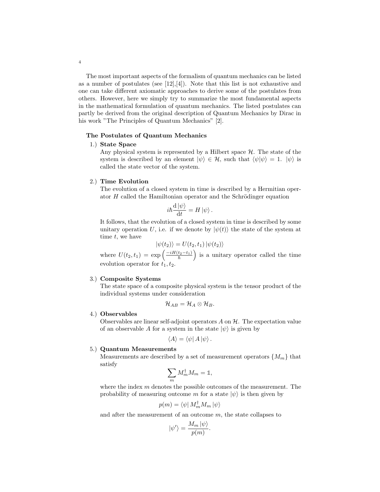The most important aspects of the formalism of quantum mechanics can be listed as a number of postulates (see  $[12], [4]$  $[12], [4]$ ). Note that this list is not exhaustive and one can take different axiomatic approaches to derive some of the postulates from others. However, here we simply try to summarize the most fundamental aspects in the mathematical formulation of quantum mechanics. The listed postulates can partly be derived from the original description of Quantum Mechanics by Dirac in his work "The Principles of Quantum Mechanics" [\[2\]](#page-37-3).

### The Postulates of Quantum Mechanics

# 1.) State Space

Any physical system is represented by a Hilbert space  $H$ . The state of the system is described by an element  $|\psi\rangle \in \mathcal{H}$ , such that  $\langle \psi | \psi \rangle = 1$ .  $|\psi\rangle$  is called the state vector of the system.

#### 2.) Time Evolution

The evolution of a closed system in time is described by a Hermitian operator  $H$  called the Hamiltonian operator and the Schrödinger equation

$$
i\hbar \frac{\mathrm{d}\left|\psi\right\rangle }{\mathrm{d}t}=H\left|\psi\right\rangle .
$$

It follows, that the evolution of a closed system in time is described by some unitary operation U, i.e. if we denote by  $|\psi(t)\rangle$  the state of the system at time  $t$ , we have

$$
|\psi(t_2)\rangle = U(t_2, t_1) |\psi(t_2)\rangle
$$

where  $U(t_2,t_1) = \exp\left(\frac{-iH(t_2-t_1)}{\hbar}\right)$  is a unitary operator called the time evolution operator for  $t_1, t_2$ .

#### 3.) Composite Systems

The state space of a composite physical system is the tensor product of the individual systems under consideration

$$
\mathcal{H}_{AB}=\mathcal{H}_{A}\otimes \mathcal{H}_{B}.
$$

# 4.) Observables

Observables are linear self-adjoint operators  $A$  on  $H$ . The expectation value of an observable A for a system in the state  $|\psi\rangle$  is given by

$$
\langle A \rangle = \langle \psi | A | \psi \rangle.
$$

#### 5.) Quantum Measurements

Measurements are described by a set of measurement operators  $\{M_m\}$  that satisfy

$$
\sum_m M_m^\dagger M_m = \mathbb{1},
$$

where the index  $m$  denotes the possible outcomes of the measurement. The probability of measuring outcome m for a state  $|\psi\rangle$  is then given by

$$
p(m) = \bra{\psi} M_m^{\dagger} M_m \ket{\psi}
$$

and after the measurement of an outcome  $m$ , the state collapses to

$$
|\psi'\rangle = \frac{M_m |\psi\rangle}{p(m)}.
$$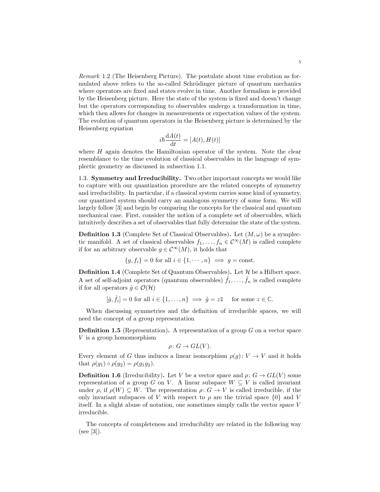Remark 1.2 (The Heisenberg Picture). The postulate about time evolution as formulated above refers to the so-called Schrödinger picture of quantum mechanics where operators are fixed and states evolve in time. Another formalism is provided by the Heisenberg picture. Here the state of the system is fixed and doesn't change but the operators corresponding to observables undergo a transformation in time, which then allows for changes in measurements or expectation values of the system. The evolution of quantum operators in the Heisenberg picture is determined by the Heisenberg equation

$$
i\hbar \frac{\mathrm{d}A(t)}{\mathrm{d}t} = [A(t), H(t)]
$$

where H again denotes the Hamiltonian operator of the system. Note the clear resemblance to the time evolution of classical observables in the language of symplectic geometry as discussed in subsection [1.1.](#page-3-1)

<span id="page-5-0"></span>1.3. Symmetry and Irreducibility. Two other important concepts we would like to capture with our quantization procedure are the related concepts of symmetry and irreducibility. In particular, if a classical system carries some kind of symmetry, our quantized system should carry an analogous symmetry of some form. We will largely follow [\[3\]](#page-37-4) and begin by comparing the concepts for the classical and quantum mechanical case. First, consider the notion of a complete set of observables, which intuitively describes a set of observables that fully determine the state of the system.

**Definition 1.3** (Complete Set of Classical Observables). Let  $(M, \omega)$  be a symplectic manifold. A set of classical observables  $f_1, \ldots, f_n \in C^{\infty}(M)$  is called complete if for an arbitrary observable  $g \in \mathcal{C}^{\infty}(M)$ , it holds that

$$
\{g, f_i\} = 0 \text{ for all } i \in \{1, \cdots, n\} \implies g = \text{const.}
$$

**Definition 1.4** (Complete Set of Quantum Observables). Let  $H$  be a Hilbert space. A set of self-adjoint operators (quantum observables)  $\hat{f}_1, \ldots, \hat{f}_n$  is called complete if for all operators  $\hat{g} \in \mathcal{O}(\mathcal{H})$ 

$$
[\hat{g}, \hat{f}_i] = 0 \text{ for all } i \in \{1, \dots, n\} \implies \hat{g} = z\mathbb{1} \quad \text{ for some } z \in \mathbb{C}.
$$

When discussing symmetries and the definition of irreducible spaces, we will need the concept of a group representation

**Definition 1.5** (Representation). A representation of a group  $G$  on a vector space V is a group homomorphism

$$
\rho \colon G \to GL(V).
$$

Every element of G thus induces a linear isomorphism  $\rho(g): V \to V$  and it holds that  $\rho(q_1) \circ \rho(q_2) = \rho(q_1q_2)$ .

**Definition 1.6** (Irreducibility). Let V be a vector space and  $\rho: G \to GL(V)$  some representation of a group G on V. A linear subspace  $W \subseteq V$  is called invariant under  $\rho$ , if  $\rho(W) \subseteq W$ . The representation  $\rho: G \to V$  is called irreducible, if the only invariant subspaces of V with respect to  $\rho$  are the trivial space  $\{0\}$  and V itself. In a slight abuse of notation, one sometimes simply calls the vector space V irreducible.

The concepts of completeness and irreducibility are related in the following way (see [\[3\]](#page-37-4)).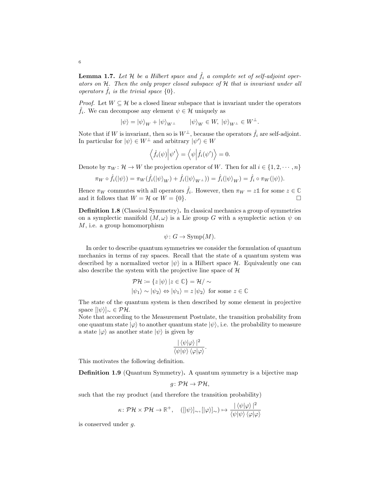**Lemma 1.7.** Let H be a Hilbert space and  $\hat{f}_i$  a complete set of self-adjoint operators on H. Then the only proper closed subspace of H that is invariant under all operators  $\tilde{f}_i$  is the trivial space  $\{0\}.$ 

*Proof.* Let  $W \subseteq \mathcal{H}$  be a closed linear subspace that is invariant under the operators  $\hat{f}_i$ . We can decompose any element  $\psi \in \mathcal{H}$  uniquely as

$$
|\psi\rangle = |\psi\rangle_{W} + |\psi\rangle_{W^{\perp}} \qquad |\psi\rangle_{W} \in W, |\psi\rangle_{W^{\perp}} \in W^{\perp}.
$$

Note that if W is invariant, then so is  $W^{\perp}$ , because the operators  $\hat{f}_i$  are self-adjoint. In particular for  $|\psi\rangle \in W^{\perp}$  and arbitrary  $|\psi'\rangle \in W$ 

$$
\langle \hat{f}_i(\psi) | \psi' \rangle = \langle \psi | \hat{f}_i(\psi') \rangle = 0.
$$

Denote by  $\pi_W : \mathcal{H} \to W$  the projection operator of W. Then for all  $i \in \{1, 2, \dots, n\}$ 

$$
\pi_W \circ \hat{f}_i(|\psi\rangle) = \pi_W(\hat{f}_i(|\psi\rangle_W) + \hat{f}_i(|\psi\rangle_{W^\perp})) = \hat{f}_i(|\psi\rangle_W) = \hat{f}_i \circ \pi_W(|\psi\rangle).
$$

Hence  $\pi_W$  commutes with all operators  $\hat{f}_i$ . However, then  $\pi_W = z \mathbb{1}$  for some  $z \in \mathbb{C}$ and it follows that  $W = \mathcal{H}$  or  $W = \{0\}.$ 

Definition 1.8 (Classical Symmetry). In classical mechanics a group of symmetries on a symplectic manifold  $(M, \omega)$  is a Lie group G with a symplectic action  $\psi$  on M, i.e. a group homomorphism

$$
\psi \colon G \to \text{Symp}(M).
$$

In order to describe quantum symmetries we consider the formulation of quantum mechanics in terms of ray spaces. Recall that the state of a quantum system was described by a normalized vector  $|\psi\rangle$  in a Hilbert space H. Equivalently one can also describe the system with the projective line space of  $H$ 

$$
\mathcal{PH} := \{ z | \psi \rangle | z \in \mathbb{C} \} = \mathcal{H} / \sim
$$
  

$$
|\psi_1\rangle \sim |\psi_2\rangle \Leftrightarrow |\psi_1\rangle = z | \psi_2\rangle \text{ for some } z \in \mathbb{C}
$$

The state of the quantum system is then described by some element in projective space  $[\ket{\psi}]_{\sim} \in \mathcal{PH}$ .

Note that according to the Measurement Postulate, the transition probability from one quantum state  $|\varphi\rangle$  to another quantum state  $|\psi\rangle$ , i.e. the probability to measure a state  $|\varphi\rangle$  as another state  $|\psi\rangle$  is given by

$$
\frac{|\langle \psi | \varphi \rangle|^2}{\langle \psi | \psi \rangle \langle \varphi | \varphi \rangle}.
$$

This motivates the following definition.

<span id="page-6-0"></span>Definition 1.9 (Quantum Symmetry). A quantum symmetry is a bijective map

$$
g\colon \mathcal{PH}\to \mathcal{PH},
$$

such that the ray product (and therefore the transition probability)

$$
\kappa\colon \mathcal{PH}\times \mathcal{PH}\to \mathbb{R}^+, \quad ( [|\psi\rangle]_{\sim}, [|\varphi\rangle]_{\sim}) \mapsto \frac{|\langle\psi|\varphi\rangle\,|^2}{\langle\psi|\psi\rangle\,\langle\varphi|\varphi\rangle}
$$

is conserved under g.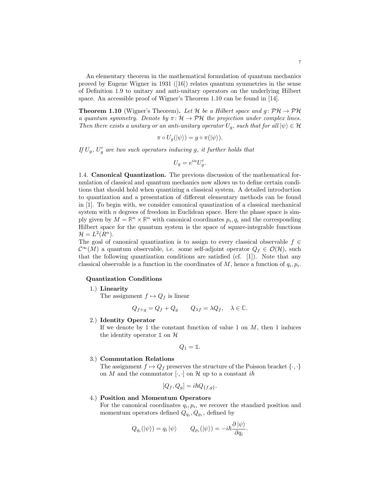An elementary theorem in the mathematical formulation of quantum mechanics proved by Eugene Wigner in 1931([\[16\]](#page-38-1)) relates quantum symmetries in the sense of Definition [1.9](#page-6-0) to unitary and anti-unitary operators on the underlying Hilbert space. An accessible proof of Wigner's Theorem [1.10](#page-7-1) can be found in [\[14\]](#page-38-2).

<span id="page-7-1"></span>**Theorem 1.10** (Wigner's Theorem). Let H be a Hilbert space and  $q: \mathcal{PH} \to \mathcal{PH}$ a quantum symmetry. Denote by  $\pi: \mathcal{H} \to \mathcal{P}\mathcal{H}$  the projection under complex lines. Then there exists a unitary or an anti-unitary operator  $U_q$ , such that for all  $|\psi\rangle \in \mathcal{H}$ 

$$
\pi \circ U_g(\ket{\psi}) = g \circ \pi(\ket{\psi}).
$$

If  $U_g$ ,  $U'_g$  are two such operators inducing g, it further holds that

$$
U_g = e^{i\alpha} U'_g.
$$

<span id="page-7-0"></span>1.4. Canonical Quantization. The previous discussion of the mathematical formulation of classical and quantum mechanics now allows us to define certain conditions that should hold when quantizing a classical system. A detailed introduction to quantization and a presentation of different elementary methods can be found in [\[1\]](#page-37-5). To begin with, we consider canonical quantization of a classical mechanical system with  $n$  degrees of freedom in Euclidean space. Here the phase space is simply given by  $M = \mathbb{R}^n \times \mathbb{R}^n$  with canonical coordinates  $p_i, q_i$  and the corresponding Hilbert space for the quantum system is the space of square-integrable functions  $\mathcal{H}=L^2(R^n).$ 

The goal of canonical quantization is to assign to every classical observable  $f \in$  $\mathcal{C}^{\infty}(M)$  a quantum observable, i.e. some self-adjoint operator  $Q_f \in \mathcal{O}(\mathcal{H})$ , such that the following quantization conditions are satisfied (cf.  $[1]$ ). Note that any classical observable is a function in the coordinates of  $M$ , hence a function of  $q_i, p_i$ .

# Quantization Conditions

1.) Linearity

The assignment  $f \mapsto Q_f$  is linear

$$
Q_{f+g} = Q_f + Q_g \qquad Q_{\lambda f} = \lambda Q_f, \quad \lambda \in \mathbb{C}.
$$

2.) Identity Operator

If we denote by 1 the constant function of value 1 on  $M$ , then 1 induces the identity operator  $\mathbb{1}$  on  $\mathcal{H}$ 

$$
Q_1=\mathbb{1}.
$$

#### 3.) Commutation Relations

The assignment  $f \mapsto Q_f$  preserves the structure of the Poisson bracket  $\{\cdot,\cdot\}$ on M and the commutator  $[\cdot, \cdot]$  on H up to a constant  $i\hbar$ 

$$
[Q_f, Q_g] = i\hbar Q_{\{f,g\}}.
$$

#### 4.) Position and Momentum Operators

For the canonical coordinates  $q_i, p_i$ , we recover the standard position and momentum operators defined  $Q_{q_i}, Q_{p_i}$ , defined by

$$
Q_{q_i}(|\psi\rangle) = q_i |\psi\rangle \qquad Q_{p_i}(|\psi\rangle) = -i\hbar \frac{\partial |\psi\rangle}{\partial q_i}.
$$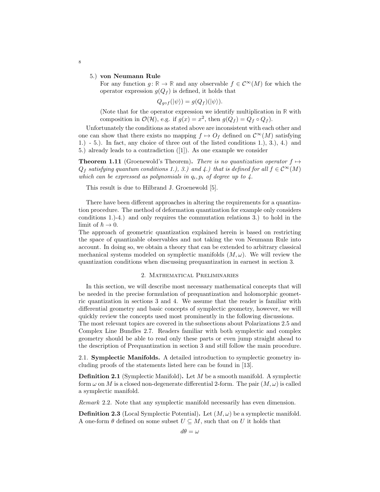#### 5.) von Neumann Rule

For any function  $g: \mathbb{R} \to \mathbb{R}$  and any observable  $f \in C^{\infty}(M)$  for which the operator expression  $g(Q_f)$  is defined, it holds that

$$
Q_{g \circ f}(|\psi\rangle) = g(Q_f)(|\psi\rangle).
$$

(Note that for the operator expression we identify multiplication in **R** with composition in  $\mathcal{O}(\mathcal{H})$ , e.g. if  $g(x) = x^2$ , then  $g(Q_f) = Q_f \circ Q_f$ .

Unfortunately the conditions as stated above are inconsistent with each other and one can show that there exists no mapping  $f \mapsto O_f$  defined on  $\mathcal{C}^{\infty}(M)$  satisfying 1.) - 5.). In fact, any choice of three out of the listed conditions 1.), 3.), 4.) and 5.) already leads to a contradiction([\[1\]](#page-37-5)). As one example we consider

**Theorem 1.11** (Groenewold's Theorem). There is no quantization operator  $f \mapsto$  $Q_f$  satisfying quantum conditions 1.), 3.) and 4.) that is defined for all  $f \in C^{\infty}(M)$ which can be expressed as polynomials in  $q_i, p_i$  of degree up to  $\lambda$ .

This result is due to Hilbrand J. Groenewold [\[5\]](#page-37-6).

There have been different approaches in altering the requirements for a quantization procedure. The method of deformation quantization for example only considers conditions 1.)-4.) and only requires the commutation relations 3.) to hold in the limit of  $\hbar \to 0$ .

The approach of geometric quantization explained herein is based on restricting the space of quantizable observables and not taking the von Neumann Rule into account. In doing so, we obtain a theory that can be extended to arbitrary classical mechanical systems modeled on symplectic manifolds  $(M, \omega)$ . We will review the quantization conditions when discussing prequantization in earnest in section [3.](#page-27-0)

#### 2. Mathematical Preliminaries

<span id="page-8-0"></span>In this section, we will describe most necessary mathematical concepts that will be needed in the precise formulation of prequantization and holomorphic geometric quantization in sections [3](#page-27-0) and [4.](#page-34-1) We assume that the reader is familiar with differential geometry and basic concepts of symplectic geometry, however, we will quickly review the concepts used most prominently in the following discussions.

The most relevant topics are covered in the subsections about Polarizations [2.5](#page-15-0) and Complex Line Bundles [2.7.](#page-21-0) Readers familiar with both symplectic and complex geometry should be able to read only these parts or even jump straight ahead to the description of Prequantization in section [3](#page-27-0) and still follow the main procedure.

<span id="page-8-1"></span>2.1. Symplectic Manifolds. A detailed introduction to symplectic geometry including proofs of the statements listed here can be found in [\[13\]](#page-38-3).

Definition 2.1 (Symplectic Manifold). Let M be a smooth manifold. A symplectic form  $\omega$  on M is a closed non-degenerate differential 2-form. The pair  $(M, \omega)$  is called a symplectic manifold.

Remark 2.2. Note that any symplectic manifold necessarily has even dimension.

**Definition 2.3** (Local Symplectic Potential). Let  $(M, \omega)$  be a symplectic manifold. A one-form  $\theta$  defined on some subset  $U \subseteq M$ , such that on U it holds that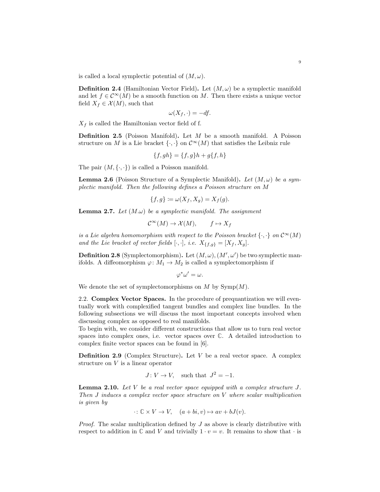is called a local symplectic potential of  $(M, \omega)$ .

**Definition 2.4** (Hamiltonian Vector Field). Let  $(M, \omega)$  be a symplectic manifold and let  $f \in \mathcal{C}^{\infty}(M)$  be a smooth function on M. Then there exists a unique vector field  $X_f \in \mathcal{X}(M)$ , such that

$$
\omega(X_f, \cdot) = -df.
$$

 $X_f$  is called the Hamiltonian vector field of f.

Definition 2.5 (Poisson Manifold). Let M be a smooth manifold. A Poisson structure on M is a Lie bracket  $\{\cdot,\cdot\}$  on  $\mathcal{C}^{\infty}(M)$  that satisfies the Leibniz rule

$$
\{f, gh\} = \{f, g\}h + g\{f, h\}
$$

The pair  $(M, \{\cdot, \cdot\})$  is called a Poisson manifold.

**Lemma 2.6** (Poisson Structure of a Symplectic Manifold). Let  $(M, \omega)$  be a symplectic manifold. Then the following defines a Poisson structure on M

$$
\{f,g\} \coloneqq \omega(X_f, X_g) = X_f(g).
$$

**Lemma 2.7.** Let  $(M.\omega)$  be a symplectic manifold. The assignment

$$
\mathcal{C}^{\infty}(M) \to \mathcal{X}(M), \qquad f \mapsto X_f
$$

is a Lie algebra homomorphism with respect to the Poisson bracket  $\{\cdot,\cdot\}$  on  $\mathcal{C}^{\infty}(M)$ and the Lie bracket of vector fields  $[\cdot, \cdot]$ , i.e.  $X_{\{f,g\}} = [X_f, X_g]$ .

**Definition 2.8** (Symplectomorphism). Let  $(M, \omega)$ ,  $(M', \omega')$  be two symplectic manifolds. A diffeomorphism  $\varphi \colon M_1 \to M_2$  is called a symplectomorphism if

$$
\varphi^*\omega'=\omega.
$$

We denote the set of symplectomorphisms on  $M$  by  $\text{Symp}(M)$ .

<span id="page-9-0"></span>2.2. Complex Vector Spaces. In the procedure of prequantization we will eventually work with complexified tangent bundles and complex line bundles. In the following subsections we will discuss the most important concepts involved when discussing complex as opposed to real manifolds.

To begin with, we consider different constructions that allow us to turn real vector spaces into complex ones, i.e. vector spaces over **C**. A detailed introduction to complex finite vector spaces can be found in [\[6\]](#page-37-7).

<span id="page-9-1"></span>**Definition 2.9** (Complex Structure). Let  $V$  be a real vector space. A complex structure on V is a linear operator

$$
J: V \to V, \quad \text{such that} \ \ J^2 = -1.
$$

**Lemma 2.10.** Let  $V$  be a real vector space equipped with a complex structure  $J$ . Then J induces a complex vector space structure on V where scalar multiplication is given by

$$
\cdot: \mathbb{C} \times V \to V, \quad (a+bi, v) \mapsto av + bJ(v).
$$

*Proof.* The scalar multiplication defined by  $J$  as above is clearly distributive with respect to addition in  $\mathbb C$  and  $V$  and trivially  $1 \cdot v = v$ . It remains to show that  $\cdot$  is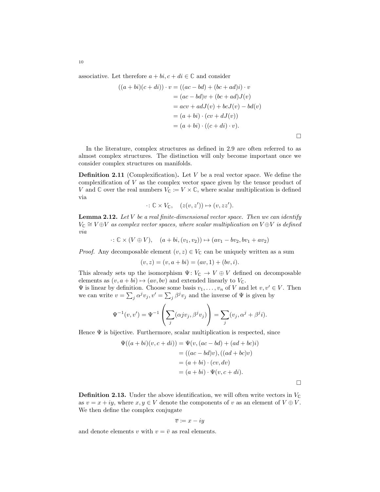associative. Let therefore  $a + bi$ ,  $c + di \in \mathbb{C}$  and consider

$$
((a+bi)(c+di)) \cdot v = ((ac-bd) + (bc+ad)i) \cdot v
$$
  

$$
= (ac-bd)v + (bc+ad)J(v)
$$
  

$$
= acv + adJ(v) + bcJ(v) - bd(v)
$$
  

$$
= (a+bi) \cdot (cv + dJ(v))
$$
  

$$
= (a+bi) \cdot ((c+di) \cdot v).
$$

 $\Box$ 

 $\Box$ 

In the literature, complex structures as defined in [2.9](#page-9-1) are often referred to as almost complex structures. The distinction will only become important once we consider complex structures on manifolds.

Definition 2.11 (Complexification). Let V be a real vector space. We define the complexification of  $V$  as the complex vector space given by the tensor product of V and  $\mathbb{C}$  over the real numbers  $V_{\mathbb{C}} := V \times \mathbb{C}$ , where scalar multiplication is defined via

$$
\cdot: \mathbb{C} \times V_{\mathbb{C}}, \quad (z(v, z')) \mapsto (v, zz').
$$

**Lemma 2.12.** Let  $V$  be a real finite-dimensional vector space. Then we can identify  $V_{\mathbb{C}} \cong V \oplus V$  as complex vector spaces, where scalar multiplication on  $V \oplus V$  is defined via

 $\cdot: \mathbb{C} \times (V \oplus V), \quad (a + bi, (v_1, v_2)) \mapsto (av_1 - bv_2, bv_1 + av_2)$ 

*Proof.* Any decomposable element  $(v, z) \in V_{\mathbb{C}}$  can be uniquely written as a sum

$$
(v, z) = (v, a + bi) = (av, 1) + (bv, i).
$$

This already sets up the isomorphism  $\Psi: V_{\mathbb{C}} \to V \oplus V$  defined on decomposable elements as  $(v, a + bi) \mapsto (av, bv)$  and extended linearly to  $V_{\mathbb{C}}$ .

 $\Psi$  is linear by definition. Choose some basis  $v_1, \ldots, v_n$  of V and let  $v, v' \in V$ . Then we can write  $v = \sum_j \alpha^j v_j, v' = \sum_j \beta^j v_j$  and the inverse of  $\Psi$  is given by

$$
\Psi^{-1}(v, v') = \Psi^{-1}\left(\sum_j(\alpha jv_j, \beta^j v_j)\right) = \sum_j(v_j, \alpha^j + \beta^j i).
$$

Hence  $\Psi$  is bijective. Furthermore, scalar multiplication is respected, since

$$
\Psi((a+bi)(v, c+di)) = \Psi(v, (ac-bd) + (ad+bc)i)
$$

$$
= ((ac-bd)v), ((ad+bc)v)
$$

$$
= (a+bi) \cdot (cv, dv)
$$

$$
= (a+bi) \cdot \Psi(v, c+di).
$$

**Definition 2.13.** Under the above identification, we will often write vectors in  $V_c$ as  $v = x + iy$ , where  $x, y \in V$  denote the components of v as an element of  $V \oplus V$ . We then define the complex conjugate

$$
\overline{v} \coloneqq x - iy
$$

and denote elements v with  $v = \overline{v}$  as real elements.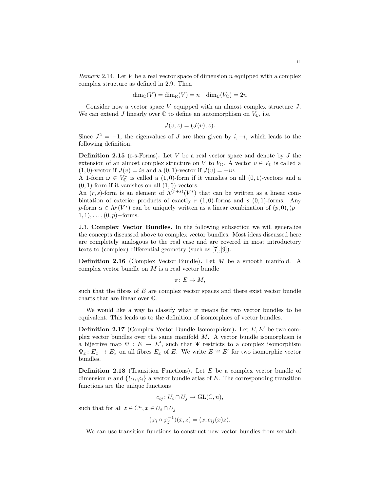*Remark* 2.14. Let V be a real vector space of dimension n equipped with a complex complex structure as defined in [2.9.](#page-9-1) Then

$$
\dim_{\mathbb{C}}(V) = \dim_{\mathbb{R}}(V) = n \quad \dim_{\mathbb{C}}(V_{\mathbb{C}}) = 2n
$$

Consider now a vector space V equipped with an almost complex structure J. We can extend J linearly over  $\mathbb C$  to define an automorphism on  $V_{\mathbb C}$ , i.e.

$$
J(v, z) = (J(v), z).
$$

Since  $J^2 = -1$ , the eigenvalues of J are then given by i,  $-i$ , which leads to the following definition.

<span id="page-11-1"></span>**Definition 2.15** (r-s-Forms). Let V be a real vector space and denote by  $J$  the extension of an almost complex structure on V to  $V_{\mathbb{C}}$ . A vector  $v \in V_{\mathbb{C}}$  is called a (1,0)-vector if  $J(v) = iv$  and a (0, 1)-vector if  $J(v) = -iv$ .

A 1-form  $\omega \in V^*_{\mathbb{C}}$  is called a  $(1,0)$ -form if it vanishes on all  $(0,1)$ -vectors and a  $(0, 1)$ -form if it vanishes on all  $(1, 0)$ -vectors.

An  $(r, s)$ -form is an element of  $\Lambda^{(r+s)}(V^*)$  that can be written as a linear combintation of exterior products of exactly r  $(1, 0)$ -forms and s  $(0, 1)$ -forms. Any p-form  $\alpha \in \Lambda^p(V^*)$  can be uniquely written as a linear combination of  $(p, 0), (p 1, 1), \ldots, (0, p)$  – forms.

<span id="page-11-0"></span>2.3. Complex Vector Bundles. In the following subsection we will generalize the concepts discussed above to complex vector bundles. Most ideas discussed here are completely analogous to the real case and are covered in most introductory texts to (complex) differential geometry (such as [\[7\]](#page-37-8),[\[9\]](#page-37-9)).

Definition 2.16 (Complex Vector Bundle). Let M be a smooth manifold. A complex vector bundle on  $M$  is a real vector bundle

 $\pi: E \to M$ ,

such that the fibres of  $E$  are complex vector spaces and there exist vector bundle charts that are linear over **C**.

We would like a way to classify what it means for two vector bundles to be equivalent. This leads us to the definition of isomorphies of vector bundles.

**Definition 2.17** (Complex Vector Bundle Isomorphism). Let  $E, E'$  be two complex vector bundles over the same manifold M. A vector bundle isomorphism is a bijective map  $\Psi : E \to E'$ , such that  $\Psi$  restricts to a complex isomorphism  $\Psi_x: E_x \to E'_x$  on all fibres  $E_x$  of E. We write  $E \cong E'$  for two isomorphic vector bundles.

**Definition 2.18** (Transition Functions). Let  $E$  be a complex vector bundle of dimension n and  $\{U_i, \varphi_i\}$  a vector bundle atlas of E. The corresponding transition functions are the unique functions

$$
c_{ij}: U_i \cap U_j \to \mathrm{GL}(\mathbb{C}, n),
$$

such that for all  $z \in \mathbb{C}^n, x \in U_i \cap U_j$ 

$$
(\varphi_i \circ \varphi_j^{-1})(x, z) = (x, c_{ij}(x)z).
$$

We can use transition functions to construct new vector bundles from scratch.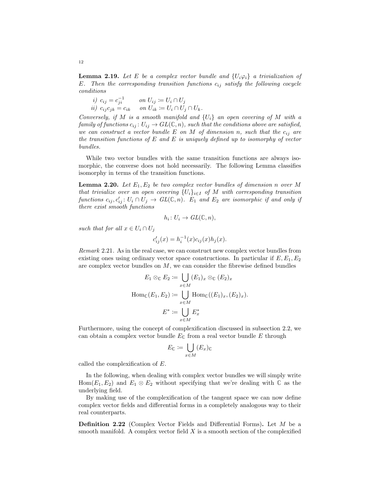<span id="page-12-0"></span>**Lemma 2.19.** Let E be a complex vector bundle and  $\{U_i\varphi_i\}$  a trivialization of E. Then the corresponding transition functions  $c_{ij}$  satisfy the following cocycle conditions

i)  $c_{ij} = c_{ji}^{-1}$  on  $U_{ij} \coloneqq U_i \cap U_j$ ii)  $c_{ij} c_{jk} = c_{ik}$  on  $U_{ik} \coloneqq U_i \cap U_j \cap U_k$ .

Conversely, if M is a smooth manifold and  $\{U_i\}$  an open covering of M with a family of functions  $c_{ij} : U_{ij} \to GL(\mathbb{C}, n)$ , such that the conditions above are satisfied, we can construct a vector bundle E on M of dimension n, such that the  $c_{ij}$  are the transition functions of E and E is uniquely defined up to isomorphy of vector bundles.

While two vector bundles with the same transition functions are always isomorphic, the converse does not hold necessarily. The following Lemma classifies isomorphy in terms of the transition functions.

**Lemma 2.20.** Let  $E_1, E_2$  be two complex vector bundles of dimension n over M that trivialize over an open covering  $\{U_i\}_{i\in I}$  of M with corresponding transition functions  $c_{ij}, c'_{ij} : U_i \cap U_j \to GL(\mathbb{C}, n)$ .  $E_1$  and  $E_2$  are isomorphic if and only if there exist smooth functions

$$
h_i\colon U_i\to GL(\mathbb{C},n),
$$

such that for all  $x \in U_i \cap U_j$ 

$$
c'_{ij}(x) = h_i^{-1}(x)c_{ij}(x)h_j(x).
$$

Remark 2.21. As in the real case, we can construct new complex vector bundles from existing ones using ordinary vector space constructions. In particular if  $E, E_1, E_2$ are complex vector bundles on  $M$ , we can consider the fibrewise defined bundles

$$
E_1 \otimes_{\mathbb{C}} E_2 := \bigcup_{x \in M} (E_1)_x \otimes_{\mathbb{C}} (E_2)_x
$$
  
Hom <sub>$\mathbb{C}} (E_1, E_2) := \bigcup_{x \in M} \text{Hom}_{\mathbb{C}} ((E_1)_x, (E_2)_x).$   

$$
E^* := \bigcup_{x \in M} E_x^*
$$</sub>

Furthermore, using the concept of complexification discussed in subsection [2.2,](#page-9-0) we can obtain a complex vector bundle  $E_{\mathbb{C}}$  from a real vector bundle E through

$$
E_{\mathbb{C}} \coloneqq \bigcup_{x \in M} (E_x)_{\mathbb{C}}
$$

called the complexification of E.

In the following, when dealing with complex vector bundles we will simply write Hom( $E_1, E_2$ ) and  $E_1 \otimes E_2$  without specifying that we're dealing with  $\mathbb C$  as the underlying field.

By making use of the complexification of the tangent space we can now define complex vector fields and differential forms in a completely analogous way to their real counterparts.

Definition 2.22 (Complex Vector Fields and Differential Forms). Let M be a smooth manifold. A complex vector field  $X$  is a smooth section of the complexified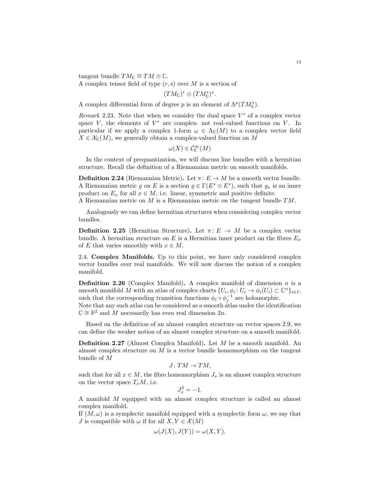tangent bundle  $TM_{\mathbb{C}} \cong TM \otimes \mathbb{C}$ .

A complex tensor field of type  $(r, s)$  over M is a section of

 $(TM_{\mathbb{C}})^r \otimes (TM_{\mathbb{C}}^*)^s.$ 

A complex differential form of degree p is an element of  $\Lambda^p(TM_{\mathbb{C}}^*)$ .

Remark 2.23. Note that when we consider the dual space  $V^*$  of a complex vector space  $V$ , the elements of  $V^*$  are complex- not real-valued functions on  $V$ . In particular if we apply a complex 1-form  $\omega \in \Lambda_{\mathbb{C}}(M)$  to a complex vector field  $X \in \mathcal{X}_{\mathbb{C}}(M)$ , we generally obtain a complex-valued function on M

$$
\omega(X)\in\mathcal{C}^\infty_{\mathbb{C}}(M)
$$

In the context of prequantization, we will discuss line bundles with a hermitian structure. Recall the definition of a Riemannian metric on smooth manifolds.

**Definition 2.24** (Riemannian Metric). Let  $\pi: E \to M$  be a smooth vector bundle. A Riemannian metric g on E is a section  $g \in \Gamma(E^* \otimes E^*)$ , such that  $g_x$  is an inner product on  $E_x$  for all  $x \in M$ , i.e. linear, symmetric and positive definite.

A Riemannian metric on M is a Riemannian metric on the tangent bundle TM.

Analogously we can define hermitian structures when considering complex vector bundles.

**Definition 2.25** (Hermitian Structure). Let  $\pi: E \to M$  be a complex vector bundle. A hermitian structure on E is a Hermitian inner product on the fibres  $E_x$ of E that varies smoothly with  $x \in M$ .

<span id="page-13-0"></span>2.4. Complex Manifolds. Up to this point, we have only considered complex vector bundles over real manifolds. We will now discuss the notion of a complex manifold.

<span id="page-13-1"></span>**Definition 2.26** (Complex Manifold). A complex manifold of dimension  $n$  is a smooth manifold M with an atlas of complex charts  $\{U_i, \phi_i : U_i \to \phi_i(U_i) \subset \mathbb{C}^n\}_{i \in I}$ , such that the corresponding transition functions  $\phi_i \circ \phi_j^{-1}$  are holomorphic.

Note that any such atlas can be considered as a smooth atlas under the identification  $\mathbb{C} \cong \mathbb{R}^2$  and M necessarily has even real dimension  $2n$ .

Based on the definition of an almost complex structure on vector spaces [2.9,](#page-9-1) we can define the weaker notion of an almost complex structure on a smooth manifold.

Definition 2.27 (Almost Complex Manifold). Let M be a smooth manifold. An almost complex structure on M is a vector bundle homomorphism on the tangent bundle of M

$$
J\colon TM\to TM,
$$

such that for all  $x \in M$ , the fibre homomorphism  $J_x$  is an almost complex structure on the vector space  $T_xM$ , i.e.

$$
J_x^2 = -1.
$$

A manifold M equipped with an almost complex structure is called an almost complex manifold.

If  $(M, \omega)$  is a symplectic manifold equipped with a symplectic form  $\omega$ , we say that J is compatible with  $\omega$  if for all  $X, Y \in \mathcal{X}(M)$ 

$$
\omega(J(X), J(Y)) = \omega(X, Y).
$$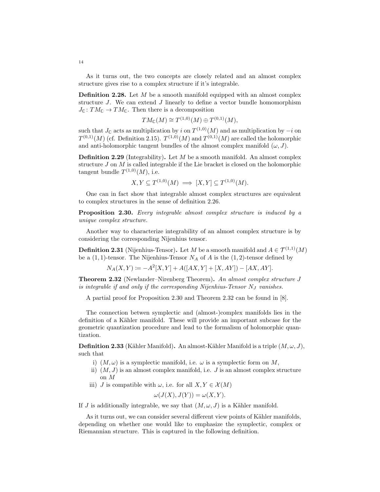As it turns out, the two concepts are closely related and an almost complex structure gives rise to a complex structure if it's integrable.

<span id="page-14-3"></span>**Definition 2.28.** Let  $M$  be a smooth manifold equipped with an almost complex structure  $J$ . We can extend  $J$  linearly to define a vector bundle homomorphism  $J_{\mathbb{C}}: TM_{\mathbb{C}} \to TM_{\mathbb{C}}$ . Then there is a decomposition

$$
TM_{\mathbb{C}}(M) \cong T^{(1,0)}(M) \oplus T^{(0,1)}(M),
$$

such that  $J_{\mathbb{C}}$  acts as multiplication by i on  $T^{(1,0)}(M)$  and as multiplication by  $-i$  on  $T^{(0,1)}(M)$  (cf. Definition [2.15\)](#page-11-1).  $T^{(1,0)}(M)$  and  $T^{(0,1)}(M)$  are called the holomorphic and anti-holomorphic tangent bundles of the almost complex manifold  $(\omega, J)$ .

<span id="page-14-4"></span>**Definition 2.29** (Integrability). Let M be a smooth manifold. An almost complex structure  $J$  on  $M$  is called integrable if the Lie bracket is closed on the holomorphic tangent bundle  $T^{(1,0)}(M)$ , i.e.

$$
X, Y \subseteq T^{(1,0)}(M) \implies [X, Y] \subseteq T^{(1,0)}(M).
$$

One can in fact show that integrable almost complex structures are equivalent to complex structures in the sense of definition [2.26.](#page-13-1)

<span id="page-14-0"></span>Proposition 2.30. Every integrable almost complex structure is induced by a unique complex structure.

Another way to characterize integrability of an almost complex structure is by considering the corresponding Nijenhius tensor.

**Definition 2.31** (Nijenhius-Tensor). Let M be a smooth manifold and  $A \in \mathcal{T}^{(1,1)}(M)$ be a  $(1, 1)$ -tensor. The Nijenhius-Tensor  $N_A$  of A is the  $(1, 2)$ -tensor defined by

$$
N_A(X,Y) := -A^2[X,Y] + A([AX,Y] + [X,AY]) - [AX,AY].
$$

<span id="page-14-1"></span>Theorem 2.32 (Newlander–Nirenberg Theorem). An almost complex structure J is integrable if and only if the corresponding Nijenhius-Tensor  $N_J$  vanishes.

A partial proof for Proposition [2.30](#page-14-0) and Theorem [2.32](#page-14-1) can be found in [\[8\]](#page-37-10).

The connection betwen symplectic and (almost-)complex manifolds lies in the definition of a Kähler manifold. These will provide an important subcase for the geometric quantization procedure and lead to the formalism of holomorphic quantization.

<span id="page-14-2"></span>**Definition 2.33** (Kähler Manifold). An almost-Kähler Manifold is a triple  $(M, \omega, J)$ , such that

- i)  $(M, \omega)$  is a symplectic manifold, i.e.  $\omega$  is a symplectic form on M,
- ii)  $(M, J)$  is an almost complex manifold, i.e. J is an almost complex structure on M
- iii) J is compatible with  $\omega$ , i.e. for all  $X, Y \in \mathcal{X}(M)$

$$
\omega(J(X), J(Y)) = \omega(X, Y).
$$

If J is additionally integrable, we say that  $(M, \omega, J)$  is a Kähler manifold.

As it turns out, we can consider several different view points of Kähler manifolds, depending on whether one would like to emphasize the symplectic, complex or Riemannian structure. This is captured in the following definition.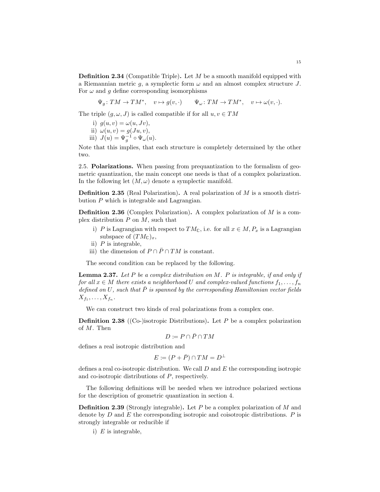**Definition 2.34** (Compatible Triple). Let  $M$  be a smooth manifold equipped with a Riemannian metric q, a symplectic form  $\omega$  and an almost complex structure J. For  $\omega$  and q define corresponding isomorphisms

 $\Psi_g: TM \to TM^*, \quad v \mapsto g(v, \cdot) \qquad \Psi_\omega: TM \to TM^*, \quad v \mapsto \omega(v, \cdot).$ 

The triple  $(q, \omega, J)$  is called compatible if for all  $u, v \in TM$ 

- i)  $g(u, v) = \omega(u, Jv)$ ,
- ii)  $\omega(u, v) = g(Ju, v)$ ,
- iii)  $J(u) = \Psi_g^{-1} \circ \Psi_\omega(u)$ .

Note that this implies, that each structure is completely determined by the other two.

<span id="page-15-0"></span>2.5. Polarizations. When passing from prequantization to the formalism of geometric quantization, the main concept one needs is that of a complex polarization. In the following let  $(M, \omega)$  denote a symplectic manifold.

**Definition 2.35** (Real Polarization). A real polarization of  $M$  is a smooth distribution P which is integrable and Lagrangian.

Definition 2.36 (Complex Polarization). A complex polarization of M is a complex distribution  $P$  on  $M$ , such that

- i) P is Lagrangian with respect to  $TM_{\mathbb{C}}$ , i.e. for all  $x \in M$ ,  $P_x$  is a Lagrangian subspace of  $(TM_{\mathbb{C}})_x$ ,
- ii)  $P$  is integrable,
- iii) the dimension of  $P \cap \overline{P} \cap TM$  is constant.

The second condition can be replaced by the following.

**Lemma 2.37.** Let P be a complex distribution on  $M$ . P is integrable, if and only if for all  $x \in M$  there exists a neighborhood U and complex-valued functions  $f_1, \ldots, f_n$ defined on U, such that  $\overline{P}$  is spanned by the corresponding Hamiltonian vector fields  $X_{f_1}, \ldots, X_{f_n}$ .

We can construct two kinds of real polarizations from a complex one.

**Definition 2.38** ((Co-)isotropic Distributions). Let  $P$  be a complex polarization of M. Then

$$
D\coloneqq P\cap \bar{P}\cap TM
$$

defines a real isotropic distribution and

$$
E := (P + \bar{P}) \cap TM = D^{\perp}
$$

defines a real co-isotropic distribution. We call  $D$  and  $E$  the corresponding isotropic and co-isotropic distributions of P, respectively.

The following definitions will be needed when we introduce polarized sections for the description of geometric quantization in section [4.](#page-34-1)

**Definition 2.39** (Strongly integrable). Let P be a complex polarization of M and denote by  $D$  and  $E$  the corresponding isotropic and coisotropic distributions.  $P$  is strongly integrable or reducible if

i)  $E$  is integrable,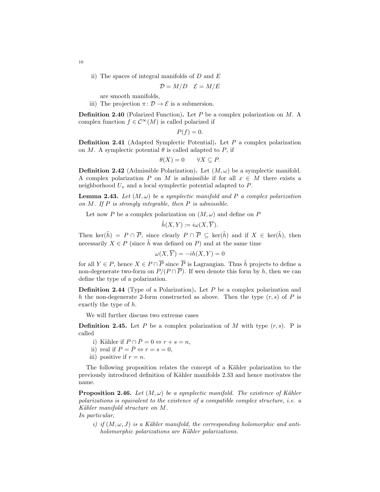ii) The spaces of integral manifolds of  $D$  and  $E$ 

$$
\mathcal{D} = M/D \quad \mathcal{E} = M/E
$$

are smooth manifolds,

iii) The projection  $\pi: \mathcal{D} \to \mathcal{E}$  is a submersion.

**Definition 2.40** (Polarized Function). Let P be a complex polarization on  $M$ . A complex function  $f \in \mathcal{C}^{\infty}(M)$  is called polarized if

 $P(f) = 0.$ 

**Definition 2.41** (Adapted Symplectic Potential). Let  $P$  a complex polarization on M. A symplectic potential  $\theta$  is called adapted to P, if

$$
\theta(X) = 0 \qquad \forall X \subseteq P.
$$

**Definition 2.42** (Admissible Polarization). Let  $(M, \omega)$  be a symplectic manifold. A complex polarization P on M is admissible if for all  $x \in M$  there exists a neighborhood  $U_x$  and a local symplectic potential adapted to  $P$ .

<span id="page-16-0"></span>**Lemma 2.43.** Let  $(M, \omega)$  be a symplectic manifold and P a complex polarization on  $M$ . If  $P$  is strongly integrable, then  $P$  is admissible.

Let now P be a complex polarization on  $(M, \omega)$  and define on P

$$
\tilde{h}(X,Y) := i\omega(X,\overline{Y}).
$$

Then ker( $\tilde{h}$ ) =  $P \cap \overline{P}$ , since clearly  $P \cap \overline{P} \subseteq \text{ker}(\tilde{h})$  and if  $X \in \text{ker}(\tilde{h})$ , then necessarily  $X \in P$  (since  $\tilde{h}$  was defined on P) and at the same time

$$
\omega(X,\overline{Y}) = -ih(X,Y) = 0
$$

for all  $Y \in P$ , hence  $X \in P \cap \overline{P}$  since  $\overline{P}$  is Lagrangian. Thus  $\tilde{h}$  projects to define a non-degenerate two-form on  $P/(P \cap \overline{P})$ . If wen denote this form by h, then we can define the type of a polarization.

**Definition 2.44** (Type of a Polarization). Let  $P$  be a complex polarization and h the non-degenerate 2-form constructed as above. Then the type  $(r, s)$  of P is exactly the type of h.

We will further discuss two extreme cases

**Definition 2.45.** Let P be a complex polarization of M with type  $(r, s)$ . P is called

- i) Kähler if  $P \cap \overline{P} = 0 \Leftrightarrow r + s = n$ ,
- ii) real if  $P = \overline{P} \Leftrightarrow r = s = 0$ ,
- iii) positive if  $r = n$ .

The following proposition relates the concept of a Kähler polarization to the previously introduced definition of K¨ahler manifolds [2.33](#page-14-2) and hence motivates the name.

<span id="page-16-1"></span>**Proposition 2.46.** Let  $(M, \omega)$  be a symplectic manifold. The existence of Kähler polarizations is equivalent to the existence of a compatible complex structure, i.e. a Kähler manifold structure on M.

In particular,

i) if  $(M, \omega, J)$  is a Kähler manifold, the corresponding holomorphic and antiholomorphic polarizations are Kähler polarizations.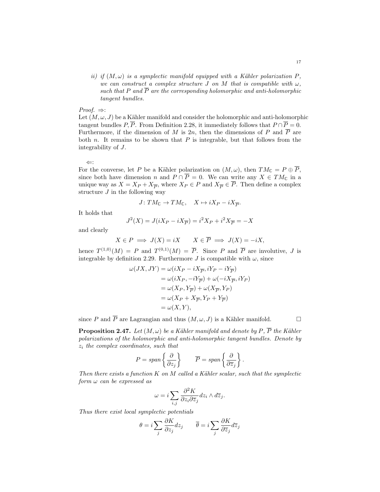ii) if  $(M, \omega)$  is a symplectic manifold equipped with a Kähler polarization P, we can construct a complex structure J on M that is compatible with  $\omega$ , such that P and  $\overline{P}$  are the corresponding holomorphic and anti-holomorphic tangent bundles.

Proof.  $\Rightarrow$ :

Let  $(M, \omega, J)$  be a Kähler manifold and consider the holomorphic and anti-holomorphic tangent bundles P,  $\overline{P}$ . From Definition [2.28,](#page-14-3) it immediately follows that  $P \cap \overline{P} = 0$ . Furthermore, if the dimension of M is 2n, then the dimensions of P and  $\overline{P}$  are both  $n$ . It remains to be shown that  $P$  is integrable, but that follows from the integrability of J.

⇐:

For the converse, let P be a Kähler polarization on  $(M, \omega)$ , then  $TM_{\mathbb{C}} = P \oplus \overline{P}$ , since both have dimension *n* and  $P \cap \overline{P} = 0$ . We can write any  $X \in TM_{\mathbb{C}}$  in a unique way as  $X = X_P + X_{\overline{P}}$ , where  $X_P \in P$  and  $X_{\overline{P}} \in \overline{P}$ . Then define a complex structure  $J$  in the following way

$$
J\colon TM_{\mathbb C}\to TM_{\mathbb C},\quad X\mapsto iX_P-iX_{\overline P}.
$$

It holds that

$$
J^{2}(X) = J(iX_{P} - iX_{\overline{P}}) = i^{2}X_{P} + i^{2}X_{\overline{P}} = -X
$$

and clearly

$$
X \in P \implies J(X) = iX \qquad X \in \overline{P} \implies J(X) = -iX,
$$

hence  $T^{(1,0)}(M) = P$  and  $T^{(0,1)}(M) = \overline{P}$ . Since P and  $\overline{P}$  are involutive, J is integrable by definition [2.29.](#page-14-4) Furthermore J is compatible with  $\omega$ , since

$$
\omega(JX, JY) = \omega(iX_P - iX_{\overline{P}}, iY_P - iY_{\overline{P}})
$$
  
=  $\omega(iX_P, -iY_{\overline{P}}) + \omega(-iX_{\overline{P}}, iY_P)$   
=  $\omega(X_P, Y_{\overline{P}}) + \omega(X_{\overline{P}}, Y_P)$   
=  $\omega(X_P + X_{\overline{P}}, Y_P + Y_{\overline{P}})$   
=  $\omega(X, Y),$ 

since P and  $\overline{P}$  are Lagrangian and thus  $(M, \omega, J)$  is a Kähler manifold.

<span id="page-17-0"></span>**Proposition 2.47.** Let  $(M, \omega)$  be a Kähler manifold and denote by P,  $\overline{P}$  the Kähler polarizations of the holomorphic and anti-holomorphic tangent bundles. Denote by  $z_i$  the complex coordinates, such that

$$
P = span\left\{\frac{\partial}{\partial z_j}\right\} \qquad \overline{P} = span\left\{\frac{\partial}{\partial \overline{z}_j}\right\}.
$$

Then there exists a function  $K$  on  $M$  called a Kähler scalar, such that the symplectic  $form \omega can be expressed as$ 

$$
\omega = i \sum_{i,j} \frac{\partial^2 K}{\partial z_i \partial \overline{z}_j} dz_i \wedge d\overline{z}_j.
$$

Thus there exist local symplectic potentials

$$
\theta = i \sum_{j} \frac{\partial K}{\partial z_j} dz_j \qquad \overline{\theta} = i \sum_{j} \frac{\partial K}{\partial \overline{z}_j} d\overline{z}_j
$$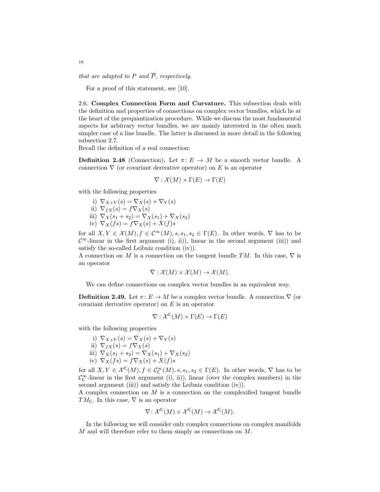that are adapted to P and  $\overline{P}$ , respectively.

For a proof of this statement, see [\[10\]](#page-37-11).

<span id="page-18-0"></span>2.6. Complex Connection Form and Curvature. This subsection deals with the definition and properties of connections on complex vector bundles, which lie at the heart of the prequantization procedure. While we discuss the most fundamental aspects for arbitrary vector bundles, we are mainly interested in the often much simpler case of a line bundle. The latter is discussed in more detail in the following subsection [2.7.](#page-21-0)

Recall the definition of a real connection:

**Definition 2.48** (Connection). Let  $\pi: E \to M$  be a smooth vector bundle. A connection  $\nabla$  (or covariant derivative operator) on E is an operator

$$
\nabla : \mathcal{X}(M) \times \Gamma(E) \to \Gamma(E)
$$

with the following properties

- i)  $\nabla_{X+Y}(s) = \nabla_X(s) + \nabla_Y(s)$ ii)  $\nabla_{fX}(s) = f\nabla_{X}(s)$ iii)  $\nabla_X(s_1 + s_2) = \nabla_X(s_1) + \nabla_X(s_2)$
- iv)  $\nabla_X(fs) = f \nabla_X(s) + X(f)s$

for all  $X, Y \in \mathcal{X}(M), f \in \mathcal{C}^{\infty}(M), s, s_1, s_2 \in \Gamma(E)$ . In other words,  $\nabla$  has to be  $\mathcal{C}^{\infty}$ -linear in the first argument (i), ii)), linear in the second argument (iii)) and satisfy the so-called Leibniz condition (iv)).

A connection on M is a connection on the tangent bundle TM. In this case,  $\nabla$  is an operator

$$
\nabla: \mathcal{X}(M) \times \mathcal{X}(M) \to \mathcal{X}(M).
$$

We can define connections on complex vector bundles in an equivalent way.

<span id="page-18-1"></span>**Definition 2.49.** Let  $\pi: E \to M$  be a complex vector bundle. A connection  $\nabla$  (or covariant derivative operator) on  $E$  is an operator

$$
\nabla : \mathcal{X}^{\mathbb{C}}(M) \times \Gamma(E) \to \Gamma(E)
$$

with the following properties

- i)  $\nabla_{X+Y}(s) = \nabla_X(s) + \nabla_Y(s)$
- ii)  $\nabla_{fX}(s) = f\nabla_{X}(s)$ iii)  $\nabla_X(s_1 + s_2) = \nabla_X(s_1) + \nabla_X(s_2)$ iv)  $\nabla_X(fs) = f \nabla_X(s) + X(f)s$

for all  $X, Y \in \mathcal{X}^{\mathbb{C}}(M)$ ,  $f \in \mathcal{C}_{\mathbb{C}}^{\infty}(M)$ ,  $s, s_1, s_2 \in \Gamma(E)$ . In other words,  $\nabla$  has to be  $\mathcal{C}_{\mathbb{C}}^{\infty}$ -linear in the first argument (i), ii)), linear (over the complex numbers) in the second argument (iii)) and satisfy the Leibniz condition (iv)).

A complex connection on  $M$  is a connection on the complexified tangent bundle TM<sub>c</sub>. In this case,  $\nabla$  is an operator

$$
\nabla \colon \mathcal{X}^{\mathbb{C}}(M) \times \mathcal{X}^{\mathbb{C}}(M) \to \mathcal{X}^{\mathbb{C}}(M).
$$

In the following we will consider only complex connections on complex manifolds M and will therefore refer to them simply as connections on M.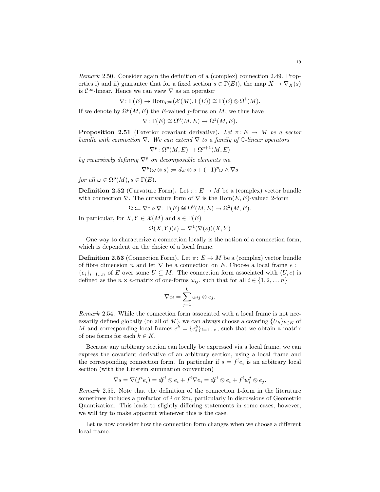$\nabla: \Gamma(E) \to \text{Hom}_{\mathcal{C}^{\infty}}(\mathcal{X}(M), \Gamma(E)) \cong \Gamma(E) \otimes \Omega^1(M).$ 

If we denote by  $\Omega^p(M, E)$  the E-valued p-forms on M, we thus have

$$
\nabla \colon \Gamma(E) \cong \Omega^0(M, E) \to \Omega^1(M, E).
$$

**Proposition 2.51** (Exterior covariant derivative). Let  $\pi: E \to M$  be a vector bundle with connection  $\nabla$ . We can extend  $\nabla$  to a family of  $\mathbb{C}\text{-linear operators}$ 

$$
\nabla^p \colon \Omega^p(M, E) \to \Omega^{p+1}(M, E)
$$

by recursively defining  $\nabla^p$  on decomposable elements via

$$
\nabla^p(\omega \otimes s) \coloneqq d\omega \otimes s + (-1)^p \omega \wedge \nabla s
$$

for all  $\omega \in \Omega^p(M)$ ,  $s \in \Gamma(E)$ .

<span id="page-19-1"></span>**Definition 2.52** (Curvature Form). Let  $\pi: E \to M$  be a (complex) vector bundle with connection  $\nabla$ . The curvature form of  $\nabla$  is the Hom $(E, E)$ -valued 2-form

$$
\Omega \coloneqq \nabla^1 \circ \nabla \colon \Gamma(E) \cong \Omega^0(M, E) \to \Omega^2(M, E).
$$

In particular, for  $X, Y \in \mathcal{X}(M)$  and  $s \in \Gamma(E)$ 

$$
\Omega(X, Y)(s) = \nabla^1(\nabla(s))(X, Y)
$$

One way to characterize a connection locally is the notion of a connection form, which is dependent on the choice of a local frame.

<span id="page-19-0"></span>**Definition 2.53** (Connection Form). Let  $\pi: E \to M$  be a (complex) vector bundle of fibre dimension n and let  $\nabla$  be a connection on E. Choose a local frame  $e \coloneqq$  ${e_i}_{i=1...n}$  of E over some  $U \subseteq M$ . The connection form associated with  $(U, e)$  is defined as the  $n \times n$ -matrix of one-forms  $\omega_{ij}$ , such that for all  $i \in \{1, 2, \ldots n\}$ 

$$
\nabla e_i = \sum_{j=1}^k \omega_{ij} \otimes e_j.
$$

Remark 2.54. While the connection form associated with a local frame is not necessarily defined globally (on all of  $M$ ), we can always choose a covering  $\{U_k\}_{k\in K}$  of M and corresponding local frames  $e^k = \{e_i^k\}_{i=1...n}$ , such that we obtain a matrix of one forms for each  $k \in K$ .

Because any arbitrary section can locally be expressed via a local frame, we can express the covariant derivative of an arbitrary section, using a local frame and the corresponding connection form. In particular if  $s = f^i e_i$  is an arbitrary local section (with the Einstein summation convention)

$$
\nabla s = \nabla (f^i e_i) = df^i \otimes e_i + f^i \nabla e_i = df^i \otimes e_i + f^i w_i^j \otimes e_j.
$$

<span id="page-19-2"></span>Remark 2.55. Note that the definition of the connection 1-form in the literature sometimes includes a prefactor of i or  $2\pi i$ , particularly in discussions of Geometric Quantization. This leads to slightly differing statements in some cases, however, we will try to make apparent whenever this is the case.

Let us now consider how the connection form changes when we choose a different local frame.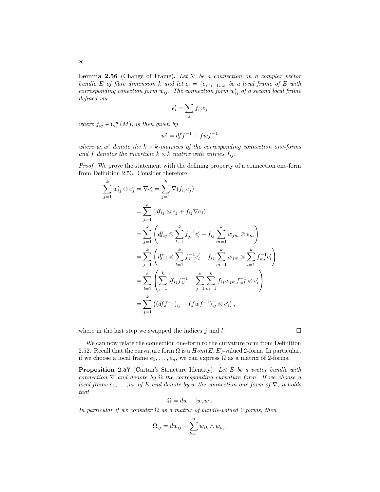20

<span id="page-20-1"></span>**Lemma 2.56** (Change of Frame). Let  $\nabla$  be a connection on a complex vector bundle E of fibre dimension k and let  $e := \{e_i\}_{i=1...k}$  be a local frame of E with corresponding conection form  $w_{ij}$ . The connection form  $w'_{ij}$  of a second local frame defined via

$$
e_i' = \sum_j f_{ij} e_j
$$

where  $f_{ij} \in \mathcal{C}^{\infty}(\mathcal{M})$ , is then given by

$$
w' = df f^{-1} + f w f^{-1}
$$

where w, w' denote the  $k \times k$ -matrices of the corresponding connection one-forms and f denotes the invertible  $k \times k$  matrix with entries  $f_{ij}$ .

Proof. We prove the statement with the defining property of a connection one-form from Definition [2.53.](#page-19-0) Consider therefore

$$
\sum_{j=1}^{k} w'_{ij} \otimes e'_{j} = \nabla e'_{i} = \sum_{j=1}^{k} \nabla (f_{ij} e_{j})
$$
\n
$$
= \sum_{j=1}^{k} (df_{ij} \otimes e_{j} + f_{ij} \nabla e_{j})
$$
\n
$$
= \sum_{j=1}^{k} \left( df_{ij} \otimes \sum_{l=1}^{k} f_{jl}^{-1} e'_{l} + f_{ij} \sum_{m=1}^{k} w_{jm} \otimes e_{m} \right)
$$
\n
$$
= \sum_{j=1}^{k} \left( df_{ij} \otimes \sum_{l=1}^{k} f_{jl}^{-1} e'_{l} + f_{ij} \sum_{m=1}^{k} w_{jm} \otimes \sum_{l=1}^{k} f_{ml}^{-1} e'_{l} \right)
$$
\n
$$
= \sum_{l=1}^{k} \left( \sum_{j=1}^{k} df_{ij} f_{jl}^{-1} + \sum_{j=1}^{k} \sum_{m=1}^{k} f_{ij} w_{jm} f_{ml}^{-1} \otimes e'_{l} \right)
$$
\n
$$
= \sum_{j=1}^{k} \left( (df f^{-1})_{ij} + (fw f^{-1})_{ij} \otimes e'_{j} \right),
$$

where in the last step we swapped the indices j and l.

We can now relate the connection one-form to the curvature form from Definition [2.52.](#page-19-1) Recall that the curvature form  $\Omega$  is a  $Hom(E, E)$ -valued 2-form. In particular, if we choose a local frame  $e_1, \ldots, e_n$ , we can express  $\Omega$  as a matrix of 2-forms.

<span id="page-20-0"></span>**Proposition 2.57** (Cartan's Structure Identity). Let E be a vector bundle with connection  $\nabla$  and denote by  $\Omega$  the corresponding curvature form. If we choose a local frame  $e_1, \ldots, e_n$  of E and denote by w the connection one-form of  $\nabla$ , it holds that

$$
\Omega = dw - [w, w].
$$

In particular if we consider  $\Omega$  as a matrix of bundle-valued 2 forms, then

$$
\Omega_{ij} = dw_{ij} - \sum_{k=1}^{n} w_{ik} \wedge w_{kj}.
$$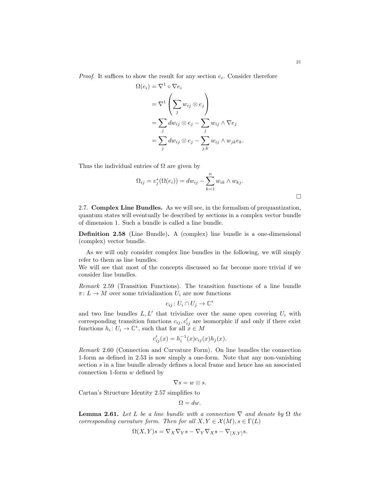*Proof.* It suffices to show the result for any section  $e_i$ . Consider therefore

$$
\Omega(e_i) = \nabla^1 \circ \nabla e_i
$$
  
=  $\nabla^1 \left( \sum_j w_{ij} \otimes e_j \right)$   
=  $\sum_j dw_{ij} \otimes e_j - \sum_j w_{ij} \wedge \nabla e_j$   
=  $\sum_j dw_{ij} \otimes e_j - \sum_{j,k} w_{ij} \wedge w_{jk} e_k$ .

Thus the individual entries of  $\Omega$  are given by

$$
\Omega_{ij} = e_j^*(\Omega(e_i)) = dw_{ij} - \sum_{k=1}^n w_{ik} \wedge w_{kj}.
$$

<span id="page-21-0"></span>2.7. Complex Line Bundles. As we will see, in the formalism of prequantization, quantum states will eventually be described by sections in a complex vector bundle of dimension 1. Such a bundle is called a line bundle.

Definition 2.58 (Line Bundle). A (complex) line bundle is a one-dimensional (complex) vector bundle.

As we will only consider complex line bundles in the following, we will simply refer to them as line bundles.

We will see that most of the concepts discussed so far become more trivial if we consider line bundles.

Remark 2.59 (Transition Functions). The transition functions of a line bundle  $\pi: L \to M$  over some trivialization  $U_i$  are now functions

$$
c_{ij} \colon U_i \cap U_j \to \mathbb{C}^*
$$

and two line bundles  $L, L'$  that trivialize over the same open covering  $U_i$  with corresponding transition functions  $c_{ij}, c'_{ij}$  are isomorphic if and only if there exist functions  $h_i: U_i \to \mathbb{C}^*$ , such that for all  $x \in M$ 

$$
c'_{ij}(x) = h_i^{-1}(x)c_{ij}(x)h_j(x).
$$

Remark 2.60 (Connection and Curvature Form). On line bundles the connection 1-form as defined in [2.53](#page-19-0) is now simply a one-form. Note that any non-vanishing section s in a line bundle already defines a local frame and hence has an associated connection 1-form  $w$  defined by

$$
\nabla s = w \otimes s.
$$

Cartan's Structure Identity [2.57](#page-20-0) simplifies to

$$
\Omega = dw.
$$

**Lemma 2.61.** Let L be a line bundle with a connection  $\nabla$  and denote by  $\Omega$  the corresponding curvature form. Then for all  $X, Y \in \mathcal{X}(M), s \in \Gamma(L)$ 

$$
\Omega(X,Y)s = \nabla_X \nabla_Y s - \nabla_Y \nabla_X s - \nabla_{[X,Y]} s.
$$

 $\Box$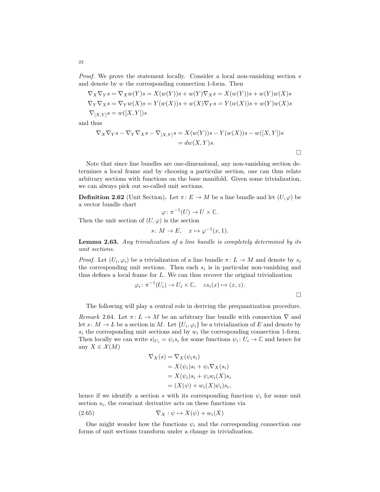Proof. We prove the statement locally. Consider a local non-vanishing section s and denote by w the corresponding connection 1-form. Then

$$
\nabla_X \nabla_Y s = \nabla_X w(Y)s = X(w(Y))s + w(Y) \nabla_X s = X(w(Y))s + w(Y)w(X)s
$$
  
\n
$$
\nabla_Y \nabla_X s = \nabla_Y w(X)s = Y(w(X))s + w(X) \nabla_Y s = Y(w(X))s + w(Y)w(X)s
$$
  
\n
$$
\nabla_{[X,Y]} s = w([X,Y])s
$$

and thus

$$
\nabla_X \nabla_Y s - \nabla_Y \nabla_X s - \nabla_{[X,Y]} s = X(w(Y))s - Y(w(X))s - w([X,Y])s
$$
  
= dw(X,Y)s.

Note that since line bundles are one-dimensional, any non-vanishing section determines a local frame and by choosing a particular section, one can thus relate arbitrary sections with functions on the base manifold. Given some trivialization, we can always pick out so-called unit sections.

**Definition 2.62** (Unit Section). Let  $\pi: E \to M$  be a line bundle and let  $(U, \varphi)$  be a vector bundle chart

$$
\varphi \colon \pi^{-1}(U) \to U \times \mathbb{C}.
$$

Then the unit section of  $(U, \varphi)$  is the section

$$
s \colon M \to E, \quad x \mapsto \varphi^{-1}(x, 1).
$$

Lemma 2.63. Any trivialization of a line bundle is completely determined by its unit sections.

*Proof.* Let  $(U_i, \varphi_i)$  be a trivialization of a line bundle  $\pi: L \to M$  and denote by  $s_i$ the corresponding unit sections. Then each  $s_i$  is in particular non-vanishing and thus defines a local frame for L. We can thus recover the original trivialization

$$
\varphi_i \colon \pi^{-1}(U_i) \to U_i \times \mathbb{C}, \quad zs_i(x) \mapsto (x, z).
$$

The following will play a central role in deriving the prequantization procedure.

Remark 2.64. Let  $\pi: L \to M$  be an arbitrary line bundle with connection  $\nabla$  and let  $s: M \to L$  be a section in M. Let  $\{U_i, \varphi_i\}$  be a trivialization of E and denote by  $s_i$  the corresponding unit sections and by  $w_i$  the corresponding connection 1-form. Then locally we can write  $s|_{U_i} = \psi_i s_i$  for some functions  $\psi_i : U_i \to \mathbb{C}$  and hence for any  $X \in \mathcal{X}(M)$ 

<span id="page-22-0"></span>
$$
\nabla_X(s) = \nabla_X(\psi_i s_i)
$$
  
=  $X(\psi_i)s_i + \psi_i \nabla_X(s_i)$   
=  $X(\psi_i)s_i + \psi_i w_i(X)s_i$   
=  $(X(\psi) + w_i(X)\psi_i)s_i$ ,

hence if we identify a section s with its corresponding function  $\psi_i$  for some unit section  $s_i$ , the covariant derivative acts on these functions via

$$
(2.65) \t\t \nabla_X : \psi \mapsto X(\psi) + w_i(X)
$$

One might wonder how the functions  $\psi_i$  and the corresponding connection one forms of unit sections transform under a change in trivialization.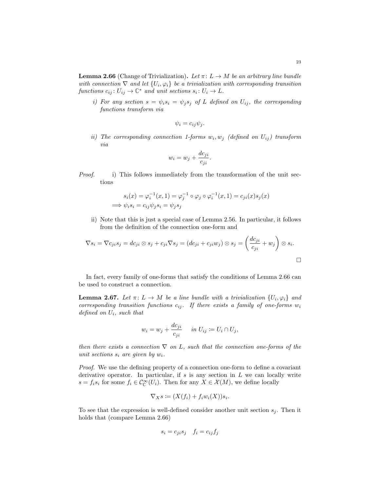<span id="page-23-0"></span>**Lemma 2.66** (Change of Trivialization). Let  $\pi: L \to M$  be an arbitrary line bundle with connection  $\nabla$  and let  $\{U_i, \varphi_i\}$  be a trivialization with corresponding transition functions  $c_{ij}: U_{ij} \to \mathbb{C}^*$  and unit sections  $s_i: U_i \to L$ .

i) For any section  $s = \psi_i s_i = \psi_j s_j$  of L defined on  $U_{ij}$ , the corresponding functions transform via

$$
\psi_i = c_{ij}\psi_j.
$$

ii) The corresponding connection 1-forms  $w_i, w_j$  (defined on  $U_{ij}$ ) transform via

$$
w_i = w_j + \frac{dc_{ji}}{c_{ji}}.
$$

Proof. i) This follows immediately from the transformation of the unit sections

$$
s_i(x) = \varphi_i^{-1}(x, 1) = \varphi_j^{-1} \circ \varphi_j \circ \varphi_i^{-1}(x, 1) = c_{ji}(x)s_j(x)
$$
  
\n
$$
\implies \psi_i s_i = c_{ij}\psi_j s_i = \psi_j s_j
$$

ii) Note that this is just a special case of Lemma [2.56.](#page-20-1) In particular, it follows from the definition of the connection one-form and

$$
\nabla s_i = \nabla c_{ji} s_j = dc_{ji} \otimes s_j + c_{ji} \nabla s_j = (dc_{ji} + c_{ji} w_j) \otimes s_j = \left(\frac{dc_{ji}}{c_{ji}} + w_j\right) \otimes s_i.
$$

In fact, every family of one-forms that satisfy the conditions of Lemma [2.66](#page-23-0) can be used to construct a connection.

<span id="page-23-1"></span>**Lemma 2.67.** Let  $\pi: L \to M$  be a line bundle with a trivialization  $\{U_i, \varphi_i\}$  and corresponding transition functions  $c_{ij}$ . If there exists a family of one-forms  $w_i$ defined on  $U_i$ , such that

$$
w_i = w_j + \frac{dc_{ji}}{c_{ji}} \quad in \ U_{ij} \coloneqq U_i \cap U_j,
$$

then there exists a connection  $\nabla$  on L, such that the connection one-forms of the unit sections  $s_i$  are given by  $w_i$ .

Proof. We use the defining property of a connection one-form to define a covariant derivative operator. In particular, if  $s$  is any section in  $L$  we can locally write  $s = f_i s_i$  for some  $f_i \in C^{\infty}_\mathbb{C}(U_i)$ . Then for any  $X \in \mathcal{X}(M)$ , we define locally

$$
\nabla_X s \coloneqq (X(f_i) + f_i w_i(X))s_i.
$$

To see that the expression is well-defined consider another unit section  $s_i$ . Then it holds that (compare Lemma [2.66\)](#page-23-0)

$$
s_i = c_{ji}s_j \quad f_i = c_{ij}f_j
$$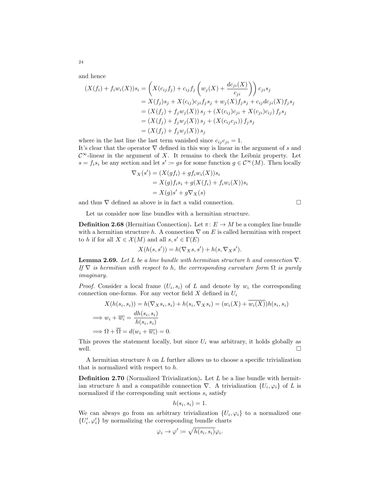and hence

$$
(X(f_i) + f_i w_i(X))s_i = \left(X(c_{ij}f_j) + c_{ij}f_j\left(w_j(X) + \frac{dc_{ji}(X)}{c_{ji}}\right)\right)c_{ji}s_j
$$
  
=  $X(f_j)s_j + X(c_{ij})c_{ji}f_js_j + w_j(X)f_js_j + c_{ij}dc_{ji}(X)f_js_j$   
=  $(X(f_j) + f_jw_j(X))s_j + (X(c_{ij})c_{ji} + X(c_{ji})c_{ij})f_js_j$   
=  $(X(f_j) + f_jw_j(X))s_j + (X(c_{ij}c_{ji}))f_js_j$   
=  $(X(f_j) + f_jw_j(X))s_j$ 

where in the last line the last term vanished since  $c_{ij} c_{ji} = 1$ . It's clear that the operator  $\nabla$  defined in this way is linear in the argument of s and  $\mathcal{C}^{\infty}$ -linear in the argument of X. It remains to check the Leibniz property. Let  $s = f_i s_i$  be any section and let  $s' := gs$  for some function  $g \in C^{\infty}(M)$ . Then locally

$$
\nabla_X(s') = (X(gf_i) + gf_i w_i(X))s_i
$$
  
=  $X(g)f_is_i + g(X(f_i) + f_i w_i(X))s_i$   
=  $X(g)s' + g\nabla_X(s)$ 

and thus  $\nabla$  defined as above is in fact a valid connection.

Let us consider now line bundles with a hermitian structure.

**Definition 2.68** (Hermitian Connection). Let  $\pi: E \to M$  be a complex line bundle with a hermitian structure h. A connection  $\nabla$  on E is called hermitian with respect to h if for all  $X \in \mathcal{X}(M)$  and all  $s, s' \in \Gamma(E)$ 

$$
X(h(s, s')) = h(\nabla_X s, s') + h(s, \nabla_X s').
$$

**Lemma 2.69.** Let L be a line bundle with hermitian structure h and connection  $\nabla$ . If  $\nabla$  is hermitian with respect to h, the corresponding curvature form  $\Omega$  is purely imaginary.

*Proof.* Consider a local frame  $(U_i, s_i)$  of L and denote by  $w_i$  the corresponding connection one-forms. For any vector field  $X$  defined in  $U_i$ 

$$
X(h(s_i, s_i)) = h(\nabla_X s_i, s_i) + h(s_i, \nabla_X s_i) = (w_i(X) + w_i(X))h(s_i, s_i)
$$
  
\n
$$
\implies w_i + \overline{w_i} = \frac{dh(s_i, s_i)}{h(s_i, s_i)}
$$
  
\n
$$
\implies \Omega + \overline{\Omega} = d(w_i + \overline{w_i}) = 0.
$$

This proves the statement locally, but since  $U_i$  was arbitrary, it holds globally as well.  $\Box$ 

A hermitian structure  $h$  on  $L$  further allows us to choose a specific trivialization that is normalized with respect to h.

Definition 2.70 (Normalized Trivialization). Let L be a line bundle with hermitian structure h and a compatible connection  $\nabla$ . A trivialization  $\{U_i, \varphi_i\}$  of L is normalized if the corresponding unit sections  $s_i$  satisfy

$$
h(s_i, s_i) = 1.
$$

We can always go from an arbitrary trivialization  $\{U_i, \varphi_i\}$  to a normalized one  $\{U'_i,\varphi'_i\}$  by normalizing the corresponding bundle charts

$$
\varphi_i \to \varphi' \coloneqq \sqrt{h(s_i, s_i)} \varphi_i.
$$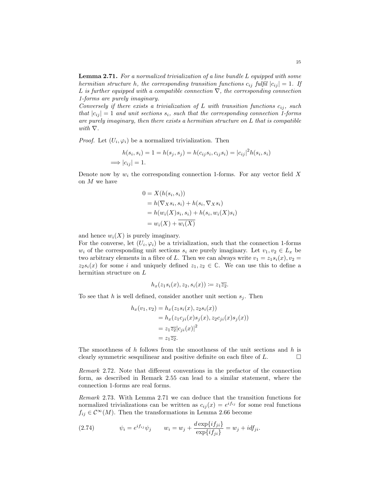<span id="page-25-0"></span>**Lemma 2.71.** For a normalized trivialization of a line bundle L equipped with some hermitian structure h, the corresponding transition functions  $c_{ij}$  fulfil  $|c_{ij}| = 1$ . If L is further equipped with a compatible connection  $\nabla$ , the corresponding connection 1-forms are purely imaginary.

Conversely if there exists a trivialization of L with transition functions  $c_{ij}$ , such that  $|c_{ij}| = 1$  and unit sections  $s_i$ , such that the corresponding connection 1-forms are purely imaginary, then there exists a hermitian structure on  $L$  that is compatible with  $\nabla$ .

*Proof.* Let  $(U_i, \varphi_i)$  be a normalized trivialization. Then

$$
h(s_i, s_i) = 1 = h(s_j, s_j) = h(c_{ij}s_i, c_{ij}s_i) = |c_{ij}|^2 h(s_i, s_i)
$$
  
\n
$$
\implies |c_{ij}| = 1.
$$

Denote now by  $w_i$  the corresponding connection 1-forms. For any vector field X on M we have

$$
0 = X(h(s_i, s_i))
$$
  
=  $h(\nabla_X s_i, s_i) + h(s_i, \nabla_X s_i)$   
=  $h(w_i(X)s_i, s_i) + h(s_i, w_i(X)s_i)$   
=  $w_i(X) + \overline{w_i(X)}$ 

and hence  $w_i(X)$  is purely imaginary.

For the converse, let  $(U_i, \varphi_i)$  be a trivialization, such that the connection 1-forms  $w_i$  of the corresponding unit sections  $s_i$  are purely imaginary. Let  $v_1, v_2 \in L_x$  be two arbitrary elements in a fibre of L. Then we can always write  $v_1 = z_1 s_i(x), v_2 =$  $z_2s_i(x)$  for some i and uniquely defined  $z_1, z_2 \in \mathbb{C}$ . We can use this to define a hermitian structure on L

$$
h_x(z_1s_i(x), z_2, s_i(x)) \coloneqq z_1 \overline{z_2}.
$$

To see that h is well defined, consider another unit section  $s_i$ . Then

$$
h_x(v_1, v_2) = h_x(z_1s_i(x), z_2s_i(x))
$$
  
= 
$$
h_x(z_1c_{ji}(x)s_j(x), z_2c_{ji}(x)s_j(x))
$$
  
= 
$$
z_1\overline{z_2}|c_{ji}(x)|^2
$$
  
= 
$$
z_1\overline{z_2}.
$$

The smoothness of  $h$  follows from the smoothness of the unit sections and  $h$  is clearly symmetric sesquilinear and positive definite on each fibre of  $L$ .

Remark 2.72. Note that different conventions in the prefactor of the connection form, as described in Remark [2.55](#page-19-2) can lead to a similar statement, where the connection 1-forms are real forms.

Remark 2.73. With Lemma [2.71](#page-25-0) we can deduce that the transition functions for normalized trivializations can be written as  $c_{ij}(x) = e^{if_{ij}}$  for some real functions  $f_{ij} \in \mathcal{C}^{\infty}(M)$ . Then the transformations in Lemma [2.66](#page-23-0) become

<span id="page-25-1"></span>(2.74) 
$$
\psi_i = e^{i f_{ij}} \psi_j \qquad w_i = w_j + \frac{d \exp\{i f_{ji}\}}{\exp\{i f_{ji}\}} = w_j + i df_{ji}.
$$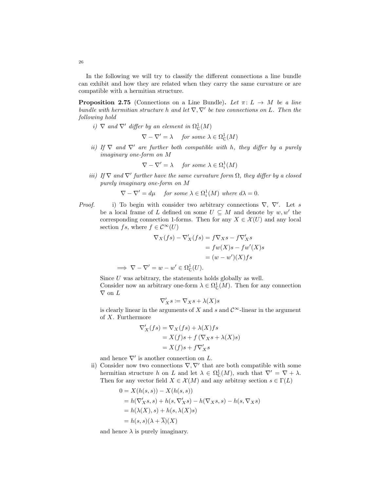In the following we will try to classify the different connections a line bundle can exhibit and how they are related when they carry the same curvature or are compatible with a hermitian structure.

**Proposition 2.75** (Connections on a Line Bundle). Let  $\pi: L \to M$  be a line bundle with hermitian structure h and let  $\nabla, \nabla'$  be two connections on L. Then the following hold

i)  $\nabla$  and  $\nabla'$  differ by an element in  $\Omega^1_{\mathbb{C}}(M)$ 

 $\nabla - \nabla' = \lambda$  for some  $\lambda \in \Omega^1_{\mathbb{C}}(M)$ 

ii) If  $\nabla$  and  $\nabla'$  are further both compatible with h, they differ by a purely imaginary one-form on M

$$
\nabla - \nabla' = \lambda \quad \text{ for some } \lambda \in \Omega^1_i(M)
$$

iii) If  $\nabla$  and  $\nabla'$  further have the same curvature form  $\Omega$ , they differ by a closed purely imaginary one-form on M

 $\nabla - \nabla' = d\mu$  for some  $\lambda \in \Omega_i^1(M)$  where  $d\lambda = 0$ .

*Proof.* i) To begin with consider two arbitrary connections  $\nabla$ ,  $\nabla'$ . Let s be a local frame of L defined on some  $U \subseteq M$  and denote by  $w, w'$  the corresponding connection 1-forms. Then for any  $X \in \mathcal{X}(U)$  and any local section fs, where  $f \in \mathcal{C}^{\infty}(U)$ 

$$
\nabla_X(f s) - \nabla'_X(f s) = f \nabla_X s - f \nabla'_X s
$$

$$
= f w(X) s - f w'(X) s
$$

$$
= (w - w')(X) fs
$$

$$
\implies \nabla - \nabla' = w - w' \in \Omega^1_{\mathbb{C}}(U).
$$

Since  $U$  was arbitrary, the statements holds globally as well. Consider now an arbitrary one-form  $\lambda \in \Omega^1_{\mathbb{C}}(M)$ . Then for any connection  $\nabla$  on  $L$ 

$$
\nabla'_Xs\coloneqq \nabla_Xs+\lambda(X)s
$$

is clearly linear in the arguments of X and s and  $\mathcal{C}^{\infty}$ -linear in the argument of X. Furthermore

$$
\nabla'_X(fs) = \nabla_X(fs) + \lambda(X)fs
$$
  
=  $X(f)s + f(\nabla_X s + \lambda(X)s)$   
=  $X(f)s + f\nabla'_X s$ 

and hence  $\nabla'$  is another connection on L.

ii) Consider now two connections  $\nabla, \nabla'$  that are both compatible with some hermitian structure h on L and let  $\lambda \in \Omega^1_{\mathbb{C}}(M)$ , such that  $\nabla' = \nabla + \lambda$ . Then for any vector field  $X \in \mathcal{X}(M)$  and any arbitray section  $s \in \Gamma(L)$ 

$$
0 = X(h(s, s)) - X(h(s, s))
$$
  
=  $h(\nabla'_X s, s) + h(s, \nabla'_X s) - h(\nabla_X s, s) - h(s, \nabla_X s)$   
=  $h(\lambda(X), s) + h(s, \lambda(X)s)$   
=  $h(s, s)(\lambda + \overline{\lambda})(X)$ 

and hence  $\lambda$  is purely imaginary.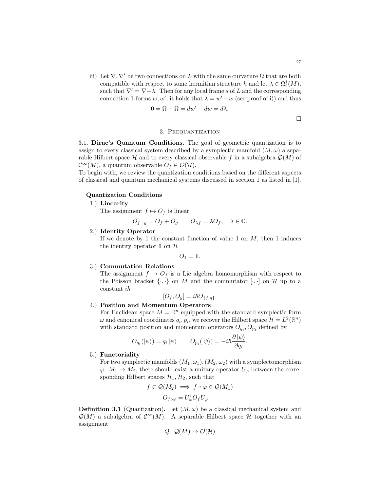iii) Let  $\nabla, \nabla'$  be two connections on L with the same curvature  $\Omega$  that are both compatible with respect to some hermitian structure h and let  $\lambda \in \Omega_i^1(M)$ , such that  $\nabla' = \nabla + \lambda$ . Then for any local frame s of L and the corresponding connection 1-forms w, w', it holds that  $\lambda = w' - w$  (see proof of i)) and thus

$$
0 = \Omega - \Omega = dw' - dw = d\lambda.
$$

$$
\Box
$$

# 3. Prequantization

<span id="page-27-1"></span><span id="page-27-0"></span>3.1. Dirac's Quantum Conditions. The goal of geometric quantization is to assign to every classical system described by a symplectic manifold  $(M, \omega)$  a separable Hilbert space H and to every classical observable f in a subalgebra  $\mathcal{Q}(M)$  of  $\mathcal{C}^{\infty}(M)$ , a quantum observable  $O_f \in \mathcal{O}(\mathcal{H})$ .

To begin with, we review the quantization conditions based on the different aspects of classical and quantum mechanical systems discussed in section [1](#page-3-0) as listed in [\[1\]](#page-37-5).

# Quantization Conditions

1.) Linearity

The assignment  $f \mapsto O_f$  is linear

$$
O_{f+g} = O_f + O_g \qquad O_{\lambda f} = \lambda O_f, \quad \lambda \in \mathbb{C}.
$$

2.) Identity Operator

If we denote by 1 the constant function of value 1 on  $M$ , then 1 induces the identity operator  $\mathbb{1}$  on  $\mathcal{H}$ 

$$
O_1=\mathbb{1}.
$$

#### 3.) Commutation Relations

The assignment  $f \mapsto O_f$  is a Lie algebra homomorphism with respect to the Poisson bracket  $\{\cdot,\cdot\}$  on M and the commutator  $[\cdot,\cdot]$  on H up to a constant  $i\hbar$ 

$$
[O_f, O_g] = i\hbar O_{\{f,g\}}.
$$

# 4.) Position and Momentum Operators

For Euclidean space  $M = \mathbb{R}^n$  equipped with the standard symplectic form  $\omega$  and canonical coordinates  $q_i, p_i$ , we recover the Hilbert space  $\mathcal{H} = L^2(\mathbb{R}^n)$ with standard position and momentum operators  $O_{q_i}, O_{p_i}$  defined by

$$
O_{q_i}(|\psi\rangle) = q_i |\psi\rangle \qquad O_{p_i}(|\psi\rangle) = -i\hbar \frac{\partial |\psi\rangle}{\partial q_i}.
$$

# 5.) Functoriality

For two symplectic manifolds  $(M_1, \omega_1), (M_2, \omega_2)$  with a symplectomorphism  $\varphi: M_1 \to M_2$ , there should exist a unitary operator  $U_{\varphi}$  between the corresponding Hilbert spaces  $\mathcal{H}_1, \mathcal{H}_2$ , such that

$$
f \in \mathcal{Q}(M_2) \implies f \circ \varphi \in \mathcal{Q}(M_1)
$$

$$
O_{f \circ \varphi} = U_{\varphi}^{\dagger} O_f U_{\varphi}
$$

**Definition 3.1** (Quantization). Let  $(M, \omega)$  be a classical mechanical system and  $\mathcal{Q}(M)$  a subalgebra of  $\mathcal{C}^{\infty}(M)$ . A separable Hilbert space H together with an assignment

$$
Q\colon \mathcal{Q}(M)\to \mathcal{O}(\mathcal{H})
$$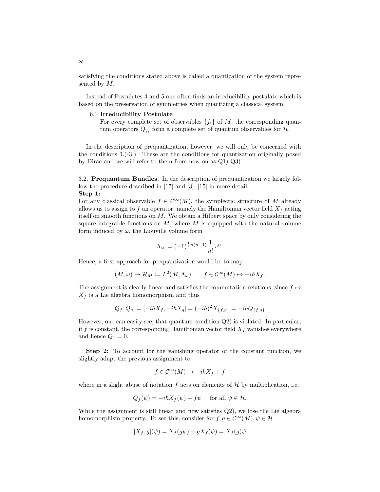satisfying the conditions stated above is called a quantization of the system represented by  $M$ .

Instead of Postulates 4 and 5 one often finds an irreducibility postulate which is based on the preservation of symmetries when quantizing a classical system.

#### 6.) Irreducibility Postulate

For every complete set of observables  $\{f_i\}$  of M, the corresponding quantum operators  $Q_{f_i}$  form a complete set of quantum observables for  $H$ .

In the description of prequantization, however, we will only be concerned with the conditions 1.)-3.). These are the conditions for quantization originally posed by Dirac and we will refer to them from now on as Q1)-Q3).

<span id="page-28-0"></span>3.2. Prequantum Bundles. In the description of prequantization we largely follow the procedure described in [\[17\]](#page-38-4) and [\[3\]](#page-37-4), [\[15\]](#page-38-5) in more detail.

#### Step 1:

For any classical observable  $f \in \mathcal{C}^{\infty}(M)$ , the symplectic structure of M already allows us to assign to f an operator, namely the Hamiltonian vector field  $X_f$  acting itself on smooth functions on M. We obtain a Hilbert space by only considering the square integrable functions on  $M$ , where  $M$  is equipped with the natural volume form induced by  $\omega$ , the Liouville volume form

$$
\Lambda_{\omega} \coloneqq (-1)^{\frac{1}{2}n(n-1)} \frac{1}{n!} \omega^n
$$

.

Hence, a first approach for prequantization would be to map

$$
(M,\omega) \to \mathcal{H}_M := L^2(M,\Lambda_\omega) \qquad f \in \mathcal{C}^\infty(M) \mapsto -i\hbar X_f.
$$

The assignment is clearly linear and satisfies the commutation relations, since  $f \mapsto$  $X_f$  is a Lie algebra homomorphism and thus

$$
[Q_f,Q_g]=[-i\hbar X_f,-i\hbar X_g]=(-i\hbar)^2X_{\{f,g\}}=-i\hbar Q_{\{f,g\}}.
$$

However, one can easily see, that quantum condition Q2) is violated. In particular, if f is constant, the corresponding Hamiltonian vector field  $X_f$  vanishes everywhere and hence  $Q_1 = 0$ .

Step 2: To account for the vanishing operator of the constant function, we slightly adapt the previous assignment to

$$
f \in \mathcal{C}^{\infty}(M) \mapsto -i\hbar X_f + f
$$

where in a slight abuse of notation f acts on elements of  $\mathcal H$  by multiplication, i.e.

$$
Q_f(\psi) = -i\hbar X_f(\psi) + f\psi \quad \text{ for all } \psi \in \mathcal{H}.
$$

While the assignment is still linear and now satisfies Q2), we lose the Lie algebra homomorphism property. To see this, consider for  $f, g \in C^{\infty}(M)$ ,  $\psi \in \mathcal{H}$ 

$$
[X_f, g](\psi) = X_f(g\psi) - gX_f(\psi) = X_f(g)\psi
$$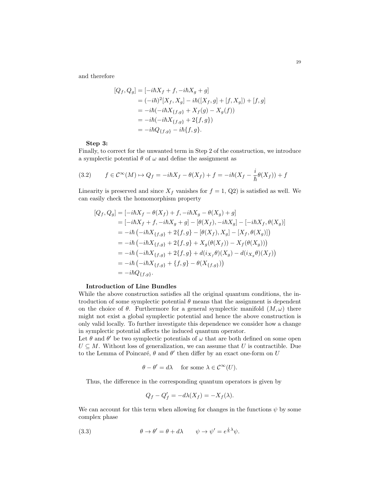and therefore

$$
[Q_f, Q_g] = [-i\hbar X_f + f, -i\hbar X_g + g]
$$
  
=  $(-i\hbar)^2 [X_f, X_g] - i\hbar ([X_f, g] + [f, X_g]) + [f, g]$   
=  $-i\hbar (-i\hbar X_{\{f, g\}} + X_f(g) - X_g(f))$   
=  $-i\hbar (-i\hbar X_{\{f, g\}} + 2\{f, g\})$   
=  $-i\hbar Q_{\{f, g\}} - i\hbar \{f, g\}.$ 

#### Step 3:

Finally, to correct for the unwanted term in Step 2 of the construction, we introduce a symplectic potential  $\theta$  of  $\omega$  and define the assignment as

<span id="page-29-0"></span>(3.2) 
$$
f \in \mathcal{C}^{\infty}(M) \mapsto Q_f = -i\hbar X_f - \theta(X_f) + f = -i\hbar (X_f - \frac{i}{\hbar}\theta(X_f)) + f
$$

Linearity is preserved and since  $X_f$  vanishes for  $f = 1$ , Q2) is satisfied as well. We can easily check the homomorphism property

$$
[Q_f, Q_g] = [-i\hbar X_f - \theta(X_f) + f, -i\hbar X_g - \theta(X_g) + g]
$$
  
\n
$$
= [-i\hbar X_f + f, -i\hbar X_g + g] - [\theta(X_f), -i\hbar X_g] - [-i\hbar X_f, \theta(X_g)]
$$
  
\n
$$
= -i\hbar (-i\hbar X_{\{f,g\}} + 2\{f,g\} - [\theta(X_f), X_g] - [X_f, \theta(X_g)])
$$
  
\n
$$
= -i\hbar (-i\hbar X_{\{f,g\}} + 2\{f,g\} + X_g(\theta(X_f)) - X_f(\theta(X_g)))
$$
  
\n
$$
= -i\hbar (-i\hbar X_{\{f,g\}} + 2\{f,g\} + d(i_{X_f}\theta)(X_g) - d(i_{X_g}\theta)(X_f))
$$
  
\n
$$
= -i\hbar (-i\hbar X_{\{f,g\}} + \{f,g\} - \theta(X_{\{f,g\}}))
$$
  
\n
$$
= -i\hbar Q_{\{f,g\}}.
$$

# Introduction of Line Bundles

While the above construction satisfies all the original quantum conditions, the introduction of some symplectic potential  $\theta$  means that the assignment is dependent on the choice of  $\theta$ . Furthermore for a general symplectic manifold  $(M, \omega)$  there might not exist a global symplectic potential and hence the above construction is only valid locally. To further investigate this dependence we consider how a change in symplectic potential affects the induced quantum operator.

Let  $\theta$  and  $\theta'$  be two symplectic potentials of  $\omega$  that are both defined on some open  $U \subseteq M$ . Without loss of generalization, we can assume that U is contractible. Due to the Lemma of Poincaré,  $\theta$  and  $\theta'$  then differ by an exact one-form on U

$$
\theta - \theta' = d\lambda
$$
 for some  $\lambda \in C^{\infty}(U)$ .

Thus, the difference in the corresponding quantum operators is given by

<span id="page-29-1"></span>
$$
Q_f - Q'_f = -d\lambda(X_f) = -X_f(\lambda).
$$

We can account for this term when allowing for changes in the functions  $\psi$  by some complex phase

(3.3) 
$$
\theta \to \theta' = \theta + d\lambda \qquad \psi \to \psi' = e^{\frac{i}{\hbar}\lambda}\psi.
$$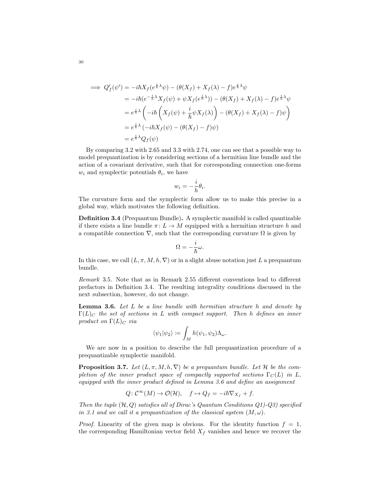$$
\implies Q'_f(\psi') = -i\hbar X_f(e^{\frac{i}{\hbar}\lambda}\psi) - (\theta(X_f) + X_f(\lambda) - f)e^{\frac{i}{\hbar}\lambda}\psi
$$
  
\n
$$
= -i\hbar(e^{-\frac{i}{\hbar}\lambda}X_f(\psi) + \psi X_f(e^{\frac{i}{\hbar}\lambda})) - (\theta(X_f) + X_f(\lambda) - f)e^{\frac{i}{\hbar}\lambda}\psi
$$
  
\n
$$
= e^{\frac{i}{\hbar}\lambda} \left( -i\hbar \left(X_f(\psi) + \frac{i}{\hbar}\psi X_f(\lambda) \right) - (\theta(X_f) + X_f(\lambda) - f)\psi \right)
$$
  
\n
$$
= e^{\frac{i}{\hbar}\lambda} (-i\hbar X_f(\psi) - (\theta(X_f) - f)\psi)
$$
  
\n
$$
= e^{\frac{i}{\hbar}\lambda}Q_f(\psi)
$$

By comparing [3.2](#page-29-0) with [2.65](#page-22-0) and [3.3](#page-29-1) with [2.74,](#page-25-1) one can see that a possible way to model prequantization is by considering sections of a hermitian line bundle and the action of a covariant derivative, such that for corresponding connection one-forms  $w_i$  and symplectic potentials  $\theta_i$ , we have

$$
w_i = -\frac{i}{h}\theta_i.
$$

The curvature form and the symplectic form allow us to make this precise in a global way, which motivates the following definition.

<span id="page-30-0"></span>Definition 3.4 (Prequantum Bundle). A symplectic manifold is called quantizable if there exists a line bundle  $\pi: L \to M$  equipped with a hermitian structure h and a compatible connection  $\nabla$ , such that the corresponding curvature  $\Omega$  is given by

$$
\Omega=-\frac{i}{\hbar}\omega.
$$

In this case, we call  $(L, \pi, M, h, \nabla)$  or in a slight abuse notation just L a prequantum bundle.

Remark 3.5. Note that as in Remark [2.55](#page-19-2) different conventions lead to different prefactors in Definition [3.4.](#page-30-0) The resulting integrality conditions discussed in the next subsection, however, do not change.

<span id="page-30-1"></span>**Lemma 3.6.** Let  $L$  be a line bundle with hermitian structure  $h$  and denote by  $\Gamma(L)_C$  the set of sections in L with compact support. Then h defines an inner product on  $\Gamma(L)_C$  via

$$
\langle \psi_1 | \psi_2 \rangle \coloneqq \int_M h(\psi_1, \psi_2) \Lambda_\omega.
$$

We are now in a position to describe the full prequantization procedure of a prequantizable symplectic manifold.

<span id="page-30-2"></span>**Proposition 3.7.** Let  $(L, \pi, M, h, \nabla)$  be a prequantum bundle. Let H be the completion of the inner product space of compactly supported sections  $\Gamma_C(L)$  in L, equipped with the inner product defined in Lemma [3.6](#page-30-1) and define an assignment

$$
Q: \mathcal{C}^{\infty}(M) \to \mathcal{O}(\mathcal{H}), \quad f \mapsto Q_f = -i\hbar \nabla_{X_f} + f.
$$

Then the tuple  $(\mathcal{H}, Q)$  satisfies all of Dirac's Quantum Conditions  $Q_1$ )- $Q_3$ ) specified in [3.1](#page-27-1) and we call it a prequantization of the classical system  $(M, \omega)$ .

*Proof.* Linearity of the given map is obvious. For the identity function  $f = 1$ , the corresponding Hamiltonian vector field  $X_f$  vanishes and hence we recover the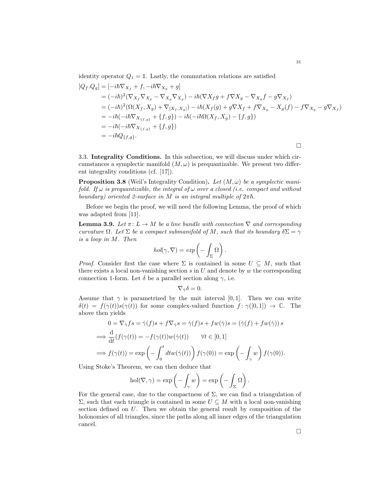identity operator  $Q_1 = \mathbb{1}$ . Lastly, the commutation relations are satisfied

$$
[Q_f.Q_g] = [-i\hbar \nabla_{X_f} + f, -i\hbar \nabla_{X_g} + g]
$$
  
\n
$$
= (-i\hbar)^2 (\nabla_{X_f} \nabla_{X_g} - \nabla_{X_g} \nabla_{X_g}) - i\hbar (\nabla X_f g + f \nabla X_g - \nabla_{X_g} f - g \nabla_{X_f})
$$
  
\n
$$
= (-i\hbar)^2 (\Omega(X_f, X_g) + \nabla_{[X_f, X_g]}) - i\hbar(X_f(g) + g \nabla X_f + f \nabla_{X_g} - X_g(f) - f \nabla_{X_g} - g \nabla_{X_f})
$$
  
\n
$$
= -i\hbar(-i\hbar \nabla_{X_{\{f, g\}}} + \{f, g\}) - i\hbar(-i\hbar \Omega(X_f, X_g) - \{f, g\})
$$
  
\n
$$
= -i\hbar(-i\hbar \nabla_{X_{\{f, g\}}} + \{f, g\})
$$
  
\n
$$
= -i\hbar Q_{\{f, g\}}.
$$

<span id="page-31-0"></span>3.3. Integrality Conditions. In this subsection, we will discuss under which circumstances a symplectic manifold  $(M, \omega)$  is prequantizable. We present two different integrality conditions (cf. [\[17\]](#page-38-4)).

<span id="page-31-1"></span>**Proposition 3.8** (Weil's Integrality Condition). Let  $(M, \omega)$  be a symplectic manifold. If  $\omega$  is prequantizable, the integral of  $\omega$  over a closed (i.e. compact and without boundary) oriented 2-surface in M is an integral multiple of  $2\pi\hbar$ .

Before we begin the proof, we will need the following Lemma, the proof of which was adapted from [\[11\]](#page-38-6).

<span id="page-31-2"></span>**Lemma 3.9.** Let  $\pi: L \to M$  be a line bundle with connection  $\nabla$  and corresponding curvature  $\Omega$ . Let  $\Sigma$  be a compact submanifold of M, such that its boundary  $\delta \Sigma = \gamma$ is a loop in M. Then

$$
hol(\gamma, \nabla) = exp\left(-\int_{\Sigma} \Omega\right).
$$

*Proof.* Consider first the case where  $\Sigma$  is contained in some  $U \subseteq M$ , such that there exists a local non-vanishing section  $s$  in  $U$  and denote by  $w$  the corresponding connection 1-form. Let  $\delta$  be a parallel section along  $\gamma$ , i.e.

$$
\nabla_{\dot{\gamma}}\delta=0.
$$

Assume that  $\gamma$  is parametrized by the unit interval [0, 1]. Then we can write  $\delta(t) = f(\gamma(t))s(\gamma(t))$  for some complex-valued function  $f: \gamma([0,1]) \to \mathbb{C}$ . The above then yields

$$
0 = \nabla_{\dot{\gamma}} f s = \dot{\gamma}(f) s + f \nabla_{\dot{\gamma}} s = \dot{\gamma}(f) s + f w(\dot{\gamma}) s = (\dot{\gamma}(f) + f w(\dot{\gamma})) s
$$
  
\n
$$
\implies \frac{d}{dt} (f(\gamma(t)) = -f(\gamma(t)) w(\dot{\gamma}(t)) \qquad \forall t \in [0, 1]
$$
  
\n
$$
\implies f(\gamma(t)) = \exp\left(-\int_0^t dt w(\dot{\gamma}(t))\right) f(\gamma(0)) = \exp\left(-\int_{\gamma} w\right) f(\gamma(0)).
$$

Using Stoke's Theorem, we can then deduce that

$$
\text{hol}(\nabla, \gamma) = \exp\left(-\int_{\gamma} w\right) = \exp\left(-\int_{\Sigma} \Omega\right).
$$

For the general case, due to the compactness of  $\Sigma$ , we can find a triangulation of Σ, such that each triangle is contained in some  $U ⊆ M$  with a local non-vanishing section defined on U. Then we obtain the general result by composition of the holonomies of all triangles, since the paths along all inner edges of the triangulation cancel.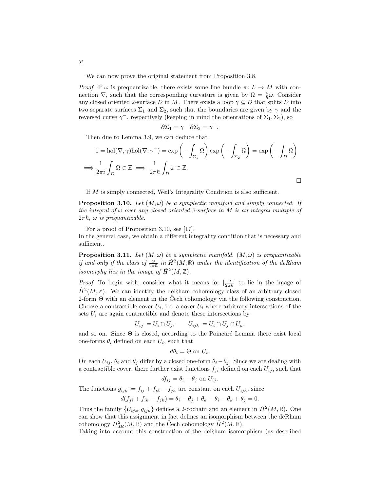We can now prove the original statement from Proposition [3.8.](#page-31-1)

*Proof.* If  $\omega$  is prequantizable, there exists some line bundle  $\pi: L \to M$  with connection  $\nabla$ , such that the corresponding curvature is given by  $\Omega = \frac{i}{\hbar}\omega$ . Consider any closed oriented 2-surface D in M. There exists a loop  $\gamma \subseteq D$  that splits D into two separate surfaces  $\Sigma_1$  and  $\Sigma_2$ , such that the boundaries are given by  $\gamma$  and the reversed curve  $\gamma^-$ , respectively (keeping in mind the orientations of  $\Sigma_1, \Sigma_2$ ), so

$$
\partial \Sigma_1 = \gamma \quad \partial \Sigma_2 = \gamma^-.
$$

Then due to Lemma [3.9,](#page-31-2) we can deduce that

$$
1 = hol(\nabla, \gamma) hol(\nabla, \gamma^{-}) = exp\left(-\int_{\Sigma_1} \Omega\right) exp\left(-\int_{\Sigma_2} \Omega\right) = exp\left(-\int_D \Omega\right)
$$
  

$$
\implies \frac{1}{2\pi i} \int_D \Omega \in \mathbb{Z} \implies \frac{1}{2\pi \hbar} \int_D \omega \in \mathbb{Z}.
$$

If M is simply connected, Weil's Integrality Condition is also sufficient.

<span id="page-32-0"></span>**Proposition 3.10.** Let  $(M, \omega)$  be a symplectic manifold and simply connected. If the integral of  $\omega$  over any closed oriented 2-surface in M is an integral multiple of  $2\pi\hbar$ ,  $\omega$  is prequantizable.

For a proof of Proposition [3.10,](#page-32-0) see [\[17\]](#page-38-4).

In the general case, we obtain a different integrality condition that is necessary and sufficient.

**Proposition 3.11.** Let  $(M, \omega)$  be a symplectic manifold.  $(M, \omega)$  is prequantizable if and only if the class of  $\frac{\omega}{2\pi\hbar}$  in  $\hat{H}^2(M,\mathbb{R})$  under the identification of the deRham isomorphy lies in the image of  $\hat{H}^2(M,\mathbb{Z})$ .

*Proof.* To begin with, consider what it means for  $\left[\frac{\omega}{2\pi\hbar}\right]$  to lie in the image of  $\hat{H}^2(M,\mathbb{Z})$ . We can identify the deRham cohomology class of an arbitrary closed 2-form  $\Theta$  with an element in the Cech cohomology via the following construction. Choose a contractible cover  $U_i$ , i.e. a cover  $U_i$  where arbitrary intersections of the sets  $U_i$  are again contractible and denote these intersections by

$$
U_{ij} := U_i \cap U_j, \qquad U_{ijk} := U_i \cap U_j \cap U_k,
$$

and so on. Since  $\Theta$  is closed, according to the Poincaré Lemma there exist local one-forms  $\theta_i$  defined on each  $U_i$ , such that

$$
d\theta_i = \Theta \text{ on } U_i.
$$

On each  $U_{ij}$ ,  $\theta_i$  and  $\theta_j$  differ by a closed one-form  $\theta_i - \theta_j$ . Since we are dealing with a contractible cover, there further exist functions  $f_{ji}$  defined on each  $U_{ij}$ , such that

$$
df_{ij} = \theta_i - \theta_j
$$
 on  $U_{ij}$ .

The functions  $g_{ijk} := f_{ij} + f_{ik} - f_{jk}$  are constant on each  $U_{ijk}$ , since

$$
d(f_{ji} + f_{ik} - f_{jk}) = \theta_i - \theta_j + \theta_k - \theta_i - \theta_k + \theta_j = 0.
$$

Thus the family  $\{U_{ijk}, g_{ijk}\}\$  defines a 2-cochain and an element in  $\check{H}^2(M, \mathbb{R})$ . One can show that this assignment in fact defines an isomorphism between the deRham cohomology  $H^2_{dR}(M,\mathbb{R})$  and the Čech cohomology  $\check{H}^2(M,\mathbb{R})$ .

Taking into account this construction of the deRham isomorphism (as described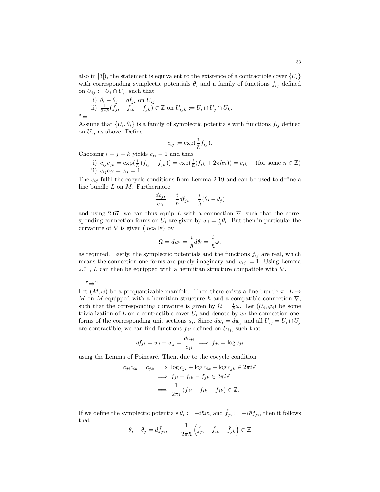also in [\[3\]](#page-37-4)), the statement is equivalent to the existence of a contractible cover  $\{U_i\}$ with corresponding symplectic potentials  $\theta_i$  and a family of functions  $f_{ij}$  defined on  $U_{ij} \coloneqq U_i \cap U_j$ , such that

i) 
$$
\theta_i - \theta_j = df_{ji}
$$
 on  $U_{ij}$   
\nii)  $\frac{1}{2\pi\hbar}(f_{ji} + f_{ik} - f_{jk}) \in \mathbb{Z}$  on  $U_{ijk} := U_i \cap U_j \cap U_k$ .  
\n $\forall$ 

Assume that  $\{U_i, \theta_i\}$  is a family of symplectic potentials with functions  $f_{ij}$  defined on  $U_{ij}$  as above. Define

$$
c_{ij} \coloneqq \exp(\frac{i}{\hbar}f_{ij}).
$$

Choosing  $i = j = k$  yields  $c_{ii} = 1$  and thus

i)  $c_{ij}c_{jk} = \exp(\frac{i}{\hbar}(f_{ij} + f_{jk})) = \exp(\frac{i}{\hbar}(f_{ik} + 2\pi\hbar n)) = c_{ik}$  (for some  $n \in \mathbb{Z}$ ) ii)  $c_{ij} c_{ji} = c_{ii} = 1$ .

The  $c_{ij}$  fulfil the cocycle conditions from Lemma [2.19](#page-12-0) and can be used to define a line bundle  $L$  on  $M$ . Furthermore

$$
\frac{dc_{ji}}{c_{ji}} = \frac{i}{\hbar} df_{ji} = \frac{i}{\hbar} (\theta_i - \theta_j)
$$

and using [2.67,](#page-23-1) we can thus equip L with a connection  $\nabla$ , such that the corresponding connection forms on  $U_i$  are given by  $w_i = \frac{i}{\hbar} \theta_i$ . But then in particular the curvature of  $\nabla$  is given (locally) by

$$
\Omega = dw_i = \frac{i}{\hbar} d\theta_i = \frac{i}{\hbar} \omega,
$$

as required. Lastly, the symplectic potentials and the functions  $f_{ij}$  are real, which means the connection one-forms are purely imaginary and  $|c_{ij}| = 1$ . Using Lemma [2.71,](#page-25-0) L can then be equipped with a hermitian structure compatible with  $\nabla$ .

"⇒"

Let  $(M, \omega)$  be a prequantizable manifold. Then there exists a line bundle  $\pi: L \to$ M on M equipped with a hermitian structure h and a compatible connection  $\nabla$ , such that the corresponding curvature is given by  $\Omega = \frac{i}{\hbar}\omega$ . Let  $(U_i, \varphi_i)$  be some trivialization of L on a contractible cover  $U_i$  and denote by  $w_i$  the connection oneforms of the corresponding unit sections  $s_i$ . Since  $dw_i = dw_j$  and all  $U_{ij} = U_i \cap U_j$ are contractible, we can find functions  $f_{ji}$  defined on  $U_{ij}$ , such that

$$
df_{ji} = w_i - w_j = \frac{dc_{ji}}{c_{ji}} \implies f_{ji} = \log c_{ji}
$$

using the Lemma of Poincaré. Then, due to the cocycle condition

$$
c_{ji}c_{ik} = c_{jk} \implies \log c_{ji} + \log c_{ik} - \log c_{jk} \in 2\pi i \mathbb{Z}
$$

$$
\implies f_{ji} + f_{ik} - f_{jk} \in 2\pi i \mathbb{Z}
$$

$$
\implies \frac{1}{2\pi i} (f_{ji} + f_{ik} - f_{jk}) \in \mathbb{Z}.
$$

If we define the symplectic potentials  $\theta_i := -i\hbar w_i$  and  $\hat{f}_{ji} := -i\hbar f_{ji}$ , then it follows that

$$
\theta_i - \theta_j = d\hat{f}_{ji}, \qquad \frac{1}{2\pi\hbar} \left( \hat{f}_{ji} + \hat{f}_{ik} - \hat{f}_{jk} \right) \in \mathbb{Z}
$$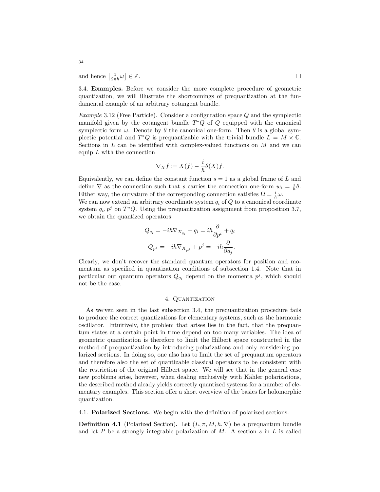and hence  $\left[\frac{1}{2\pi\hbar}\omega\right]$ ∈ **Z**.

<span id="page-34-0"></span>3.4. Examples. Before we consider the more complete procedure of geometric quantization, we will illustrate the shortcomings of prequantization at the fundamental example of an arbitrary cotangent bundle.

Example 3.12 (Free Particle). Consider a configuration space Q and the symplectic manifold given by the cotangent bundle  $T^*Q$  of  $Q$  equipped with the canonical symplectic form  $\omega$ . Denote by  $\theta$  the canonical one-form. Then  $\theta$  is a global symplectic potential and  $T^*Q$  is prequantizable with the trivial bundle  $L = M \times \mathbb{C}$ . Sections in  $L$  can be identified with complex-valued functions on  $M$  and we can equip  $L$  with the connection

$$
\nabla_X f \coloneqq X(f) - \frac{i}{\hbar} \theta(X) f.
$$

Equivalently, we can define the constant function  $s = 1$  as a global frame of L and define  $\nabla$  as the connection such that s carries the connection one-form  $w_i = \frac{i}{\hbar}\theta$ . Either way, the curvature of the corresponding connection satisfies  $\Omega = \frac{i}{\hbar}\omega$ . We can now extend an arbitrary coordinate system  $q_i$  of  $Q$  to a canonical coordinate

system  $q_i, p^j$  on  $T^*Q$ . Using the prequantization assignment from proposition [3.7,](#page-30-2) we obtain the quantized operators

$$
Q_{q_i} = -i\hbar \nabla_{X_{q_i}} + q_i = i\hbar \frac{\partial}{\partial p^i} + q_i
$$
  

$$
Q_{p^j} = -i\hbar \nabla_{X_{p^j}} + p^j = -i\hbar \frac{\partial}{\partial q_j}.
$$

Clearly, we don't recover the standard quantum operators for position and momentum as specified in quantization conditions of subsection [1.4.](#page-7-0) Note that in particular our quantum operators  $Q_{q_i}$  depend on the momenta  $p^j$ , which should not be the case.

# 4. Quantization

<span id="page-34-1"></span>As we'ven seen in the last subsection [3.4,](#page-34-0) the prequantization procedure fails to produce the correct quantizations for elementary systems, such as the harmonic oscillator. Intuitively, the problem that arises lies in the fact, that the prequantum states at a certain point in time depend on too many variables. The idea of geometric quantization is therefore to limit the Hilbert space constructed in the method of prequantization by introducing polarizations and only considering polarized sections. In doing so, one also has to limit the set of prequantum operators and therefore also the set of quantizable classical operators to be consistent with the restriction of the original Hilbert space. We will see that in the general case new problems arise, however, when dealing exclusively with Kähler polarizations, the described method aleady yields correctly quantized systems for a number of elementary examples. This section offer a short overview of the basics for holomorphic quantization.

<span id="page-34-2"></span>4.1. Polarized Sections. We begin with the definition of polarized sections.

<span id="page-34-3"></span>**Definition 4.1** (Polarized Section). Let  $(L, \pi, M, h, \nabla)$  be a prequantum bundle and let P be a strongly integrable polarization of M. A section s in L is called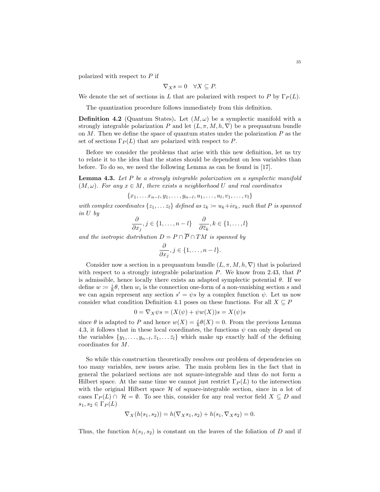polarized with respect to P if

$$
\nabla_X s = 0 \quad \forall X \subseteq P.
$$

We denote the set of sections in L that are polarized with respect to P by  $\Gamma_P(L)$ .

The quantization procedure follows immediately from this definition.

<span id="page-35-1"></span>**Definition 4.2** (Quantum States). Let  $(M, \omega)$  be a symplectic manifold with a strongly integrable polarization P and let  $(L, \pi, M, h, \nabla)$  be a prequantum bundle on  $M$ . Then we define the space of quantum states under the polarization  $P$  as the set of sections  $\Gamma_P(L)$  that are polarized with respect to P.

Before we consider the problems that arise with this new definition, let us try to relate it to the idea that the states should be dependent on less variables than before. To do so, we need the following Lemma as can be found in [\[17\]](#page-38-4).

<span id="page-35-0"></span>**Lemma 4.3.** Let  $P$  be a strongly integrable polarization on a symplectic manifold  $(M, \omega)$ . For any  $x \in M$ , there exists a neighborhood U and real coordinates

 ${x_1, \ldots, x_{n-l}, y_1, \ldots, y_{n-l}, u_1, \ldots, u_l, v_1, \ldots, v_l}$ 

with complex coordinates  $\{z_1, \ldots z_l\}$  defined as  $z_k := u_k + iv_k$ , such that P is spanned in U by

$$
\frac{\partial}{\partial x_j}, j \in \{1, \dots, n-l\} \quad \frac{\partial}{\partial \overline{z}_k}, k \in \{1, \dots, l\}
$$

and the isotropic distribution  $D = P \cap \overline{P} \cap TM$  is spanned by

$$
\frac{\partial}{\partial x_j}, j \in \{1, \ldots, n-l\}.
$$

Consider now a section in a prequantum bundle  $(L, \pi, M, h, \nabla)$  that is polarized with respect to a strongly integrable polarization  $P$ . We know from [2.43,](#page-16-0) that  $P$ is admissible, hence locally there exists an adapted symplectic potential  $\theta$ . If we define  $w := \frac{i}{\hbar} \theta$ , then  $w_i$  is the connection one-form of a non-vanishing section s and we can again represent any section  $s' = \psi s$  by a complex function  $\psi$ . Let us now consider what condition Definition [4.1](#page-34-3) poses on these functions. For all  $X \subseteq P$ 

$$
0 = \nabla_X \psi s = (X(\psi) + \psi w(X))s = X(\psi)s
$$

since  $\theta$  is adapted to P and hence  $w(X) = \frac{i}{\hbar} \theta(X) = 0$ . From the previous Lemma [4.3,](#page-35-0) it follows that in these local coordinates, the functions  $\psi$  can only depend on the variables  $\{y_1, \ldots, y_{n-l}, \bar{z}_1, \ldots, \bar{z}_l\}$  which make up exactly half of the defining coordinates for M.

So while this construction theoretically resolves our problem of dependencies on too many variables, new issues arise. The main problem lies in the fact that in general the polarized sections are not square-integrable and thus do not form a Hilbert space. At the same time we cannot just restrict  $\Gamma_P(L)$  to the intersection with the original Hilbert space  $H$  of square-integrable section, since in a lot of cases  $\Gamma_P(L) \cap \mathcal{H} = \emptyset$ . To see this, consider for any real vector field  $X \subseteq D$  and  $s_1, s_2 \in \Gamma_P(L)$ 

$$
\nabla_X(h(s_1, s_2)) = h(\nabla_X s_1, s_2) + h(s_1, \nabla_X s_2) = 0.
$$

Thus, the function  $h(s_1, s_2)$  is constant on the leaves of the foliation of D and if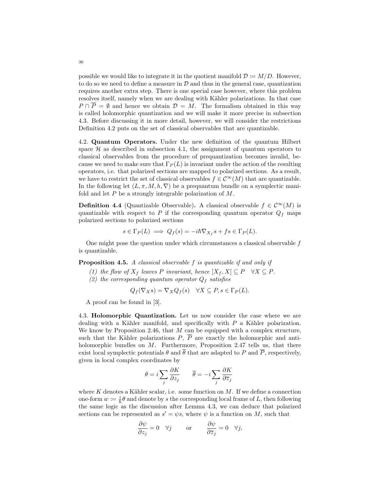possible we would like to integrate it in the quotient manifold  $\mathcal{D} := M/D$ . However, to do so we need to define a measure in  $\mathcal D$  and thus in the general case, quantization requires another extra step. There is one special case however, where this problem resolves itself, namely when we are dealing with Kähler polarizations. In that case  $P \cap \overline{P} = \emptyset$  and hence we obtain  $\mathcal{D} = M$ . The formalism obtained in this way is called holomorphic quantization and we will make it more precise in subsection [4.3.](#page-36-1) Before discussing it in more detail, however, we will consider the restrictions Definition [4.2](#page-35-1) puts on the set of classical observables that are quantizable.

<span id="page-36-0"></span>4.2. Quantum Operators. Under the new definition of the quantum Hilbert space  $H$  as described in subsection [4.1,](#page-34-2) the assignment of quantum operators to classical observables from the procedure of prequantization becomes invalid, because we need to make sure that  $\Gamma_P(L)$  is invariant under the action of the resulting operators, i.e. that polarized sections are mapped to polarized sections. As a result, we have to restrict the set of classical observables  $f \in C^{\infty}(M)$  that are quantizable. In the following let  $(L, \pi, M, h, \nabla)$  be a prequantum bundle on a symplectic manifold and let P be a strongly integrable polarization of M.

**Definition 4.4** (Quantizable Observable). A classical observable  $f \in C^{\infty}(M)$  is quantizable with respect to P if the corresponding quantum operator  $Q_f$  maps polarized sections to polarized sections

$$
s \in \Gamma_P(L) \implies Q_f(s) = -i\hbar \nabla_{X_f} s + fs \in \Gamma_P(L).
$$

One might pose the question under which circumstances a classical observable  $f$ is quantizable.

Proposition 4.5. A classical observable f is quantizable if and only if

- (1) the flow of  $X_f$  leaves P invariant, hence  $[X_f, X] \subseteq P \quad \forall X \subseteq P$ .
- (2) the corresponding quantum operator  $Q_f$  satisfies

$$
Q_f(\nabla_X s) = \nabla_X Q_f(s) \quad \forall X \subseteq P, s \in \Gamma_P(L).
$$

A proof can be found in [\[3\]](#page-37-4).

<span id="page-36-1"></span>4.3. Holomorphic Quantization. Let us now consider the case where we are dealing with a Kähler manifold, and specifically with  $P$  a Kähler polarization. We know by Proposition [2.46,](#page-16-1) that  $M$  can be equipped with a complex structure, such that the Kähler polarizations  $P, \overline{P}$  are exactly the holomorphic and antiholomorphic bundles on  $M$ . Furthermore, Proposition [2.47](#page-17-0) tells us, that there exist local symplectic potentials  $\theta$  and  $\bar{\theta}$  that are adapted to P and  $\bar{P}$ , respectively, given in local complex coordinates by

$$
\theta = i \sum_{j} \frac{\partial K}{\partial z_j} \qquad \overline{\theta} = -i \sum_{j} \frac{\partial K}{\partial \overline{z}_j}
$$

where K denotes a Kähler scalar, i.e. some function on  $M$ . If we define a connection one-form  $w := \frac{i}{\hbar} \theta$  and denote by s the corresponding local frame of L, then following the same logic as the discussion after Lemma [4.3,](#page-35-0) we can deduce that polarized sections can be represented as  $s' = \psi s$ , where  $\psi$  is a function on M, such that

$$
\frac{\partial \psi}{\partial z_j} = 0 \quad \forall j \qquad \text{or} \qquad \frac{\partial \psi}{\partial \overline{z}_j} = 0 \quad \forall j,
$$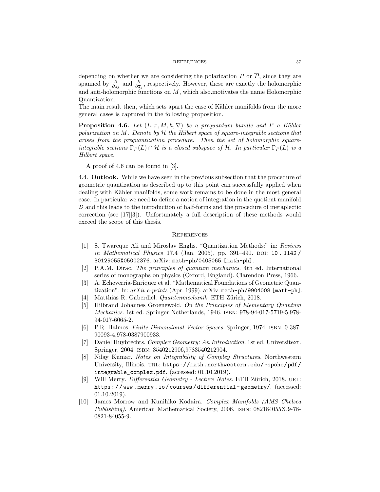#### REFERENCES 37

depending on whether we are considering the polarization P or  $\overline{P}$ , since they are spanned by  $\frac{\partial}{\partial z_j}$  and  $\frac{\partial}{\partial \overline{z_j}}$ , respectively. However, these are exactly the holomorphic and anti-holomorphic functions on  $M$ , which also motivates the name Holomorphic Quantization.

The main result then, which sets apart the case of Kähler manifolds from the more general cases is captured in the following proposition.

<span id="page-37-12"></span>**Proposition 4.6.** Let  $(L, \pi, M, h, \nabla)$  be a prequantum bundle and P a Kähler polarization on M. Denote by  $H$  the Hilbert space of square-integrable sections that arises from the prequantization procedure. Then the set of holomorphic squareintegrable sections  $\Gamma_P(L) \cap \mathcal{H}$  is a closed subspace of H. In particular  $\Gamma_P(L)$  is a Hilbert space.

A proof of [4.6](#page-37-12) can be found in [\[3\]](#page-37-4).

<span id="page-37-0"></span>4.4. Outlook. While we have seen in the previous subsection that the procedure of geometric quantization as described up to this point can successfully applied when dealing with Kähler manifolds, some work remains to be done in the most general case. In particular we need to define a notion of integration in the quotient manifold  $D$  and this leads to the introduction of half-forms and the procedure of metaplectic correction (see [\[17\]](#page-38-4)[\[3\]](#page-37-4)). Unfortunately a full description of these methods would exceed the scope of this thesis.

#### <span id="page-37-1"></span>**REFERENCES**

- <span id="page-37-5"></span>[1] S. Twareque Ali and Miroslav Engliš. "Quantization Methods:" in: Reviews in Mathematical Physics 17.4 (Jan. 2005), pp. 391-490. DOI: [10 . 1142 /](https://doi.org/10.1142/S0129055X05002376) [S0129055X05002376](https://doi.org/10.1142/S0129055X05002376). arXiv: [math-ph/0405065 \[math-ph\]](https://arxiv.org/abs/math-ph/0405065).
- <span id="page-37-3"></span>[2] P.A.M. Dirac. The principles of quantum mechanics. 4th ed. International series of monographs on physics (Oxford, England). Clarendon Press, 1966.
- <span id="page-37-4"></span>[3] A. Echeverria-Enriquez et al. "Mathematical Foundations of Geometric Quantization". In:  $arXiv$  e-prints (Apr. 1999).  $arXiv$ : [math-ph/9904008 \[math-ph\]](https://arxiv.org/abs/math-ph/9904008).
- <span id="page-37-2"></span>Matthias R. Gaberdiel. Quantenmechanik. ETH Zürich, 2018.
- <span id="page-37-6"></span>[5] Hilbrand Johannes Groenewold. On the Principles of Elementary Quantum Mechanics. 1st ed. Springer Netherlands, 1946. isbn: 978-94-017-5719-5,978- 94-017-6065-2.
- <span id="page-37-7"></span>[6] P.R. Halmos. Finite-Dimensional Vector Spaces. Springer, 1974. isbn: 0-387- 90093-4,978-0387900933.
- <span id="page-37-8"></span>[7] Daniel Huybrechts. Complex Geometry: An Introduction. 1st ed. Universitext. Springer, 2004. isbn: 3540212906,9783540212904.
- <span id="page-37-10"></span>[8] Nilay Kumar. Notes on Integrability of Compley Structures. Northwestern University, Illinois. url: [https://math.northwestern.edu/~spoho/pdf/](https://math.northwestern.edu/~spoho/pdf/integrable_complex.pdf) [integrable\\_complex.pdf](https://math.northwestern.edu/~spoho/pdf/integrable_complex.pdf). (accessed: 01.10.2019).
- <span id="page-37-9"></span>[9] Will Merry. Differential Geometry - Lecture Notes. ETH Zürich, 2018. URL: [https : / / www . merry . io / courses / differential - geometry/](https://www.merry.io/courses/differential-geometry/). (accessed: 01.10.2019).
- <span id="page-37-11"></span>[10] James Morrow and Kunihiko Kodaira. Complex Manifolds (AMS Chelsea Publishing). American Mathematical Society, 2006. ISBN: 082184055X,9-78-0821-84055-9.